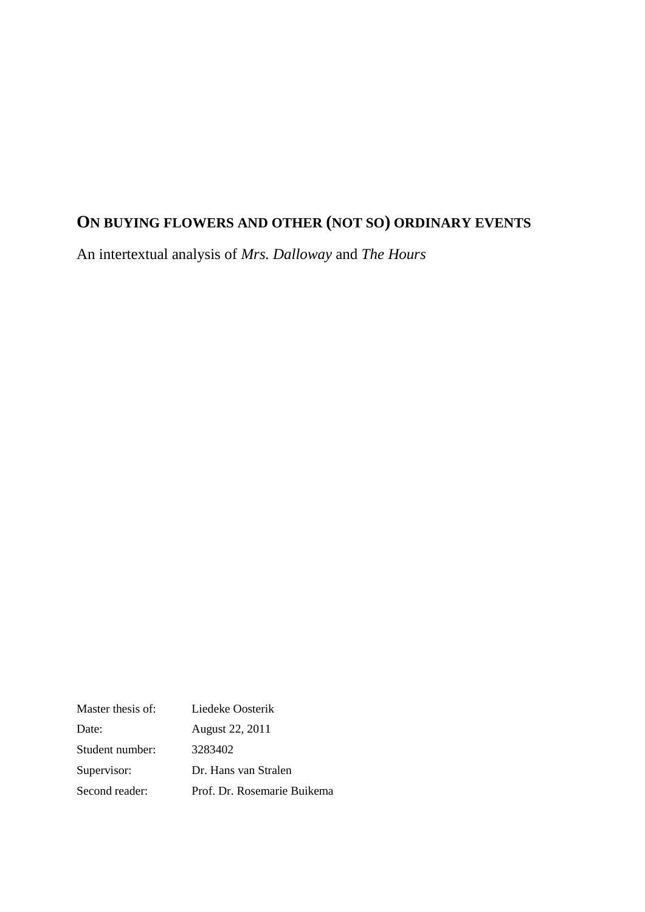# **ON BUYING FLOWERS AND OTHER (NOT SO) ORDINARY EVENTS**

An intertextual analysis of *Mrs. Dalloway* and *The Hours*

| Master thesis of: | Liedeke Oosterik            |
|-------------------|-----------------------------|
| Date:             | August 22, 2011             |
| Student number:   | 3283402                     |
| Supervisor:       | Dr. Hans van Stralen        |
| Second reader:    | Prof. Dr. Rosemarie Buikema |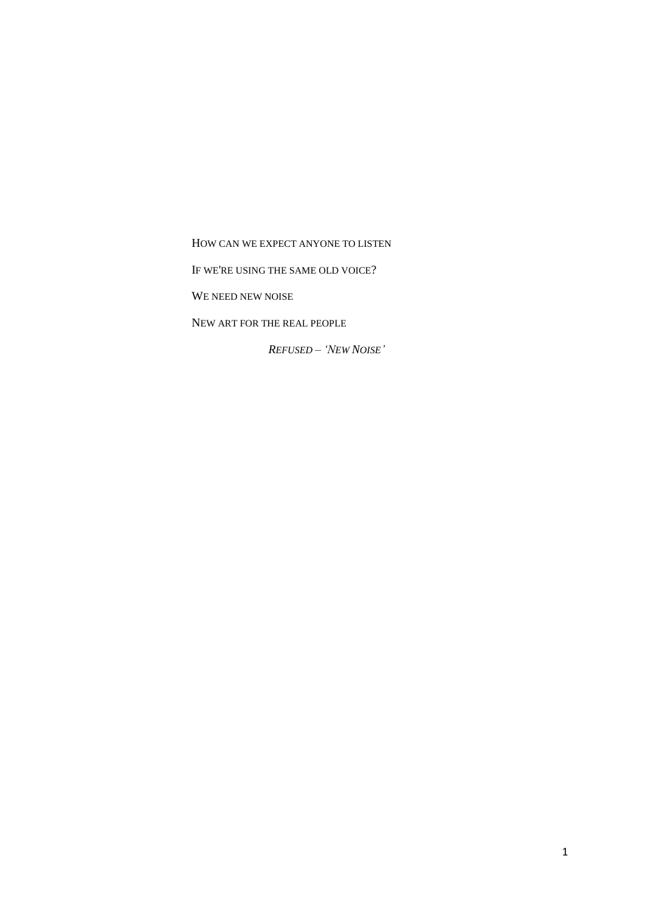HOW CAN WE EXPECT ANYONE TO LISTEN

IF WE'RE USING THE SAME OLD VOICE?

WE NEED NEW NOISE

NEW ART FOR THE REAL PEOPLE

*REFUSED – 'NEW NOISE'*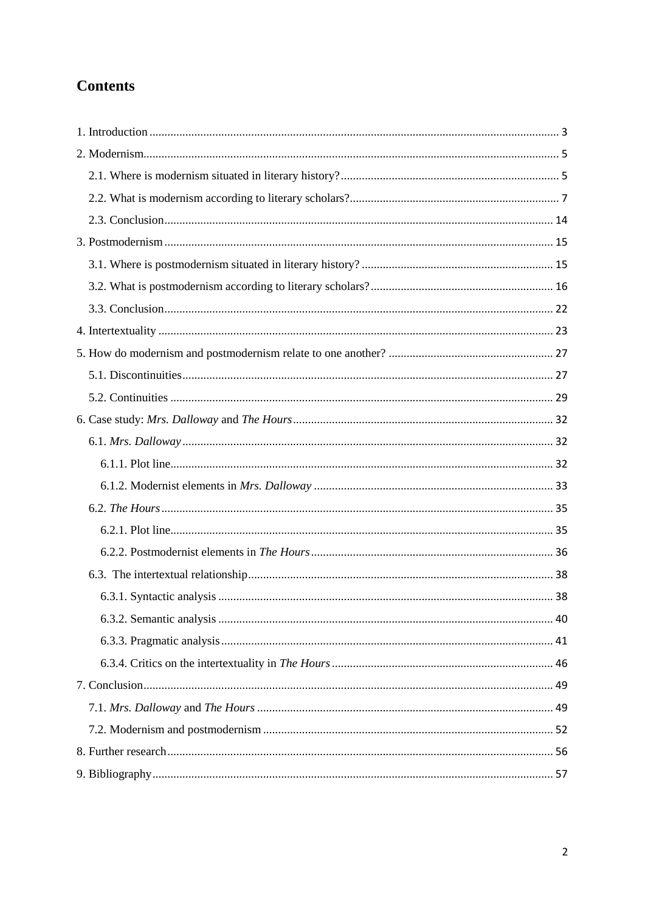## **Contents**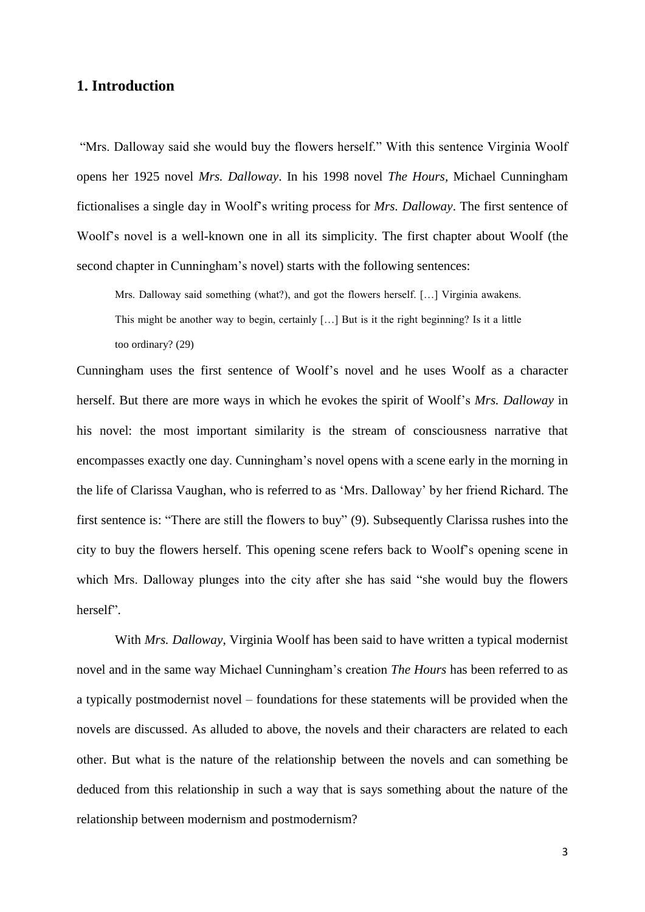## <span id="page-3-0"></span>**1. Introduction**

"Mrs. Dalloway said she would buy the flowers herself." With this sentence Virginia Woolf opens her 1925 novel *Mrs. Dalloway*. In his 1998 novel *The Hours,* Michael Cunningham fictionalises a single day in Woolf"s writing process for *Mrs. Dalloway*. The first sentence of Woolf"s novel is a well-known one in all its simplicity. The first chapter about Woolf (the second chapter in Cunningham"s novel) starts with the following sentences:

Mrs. Dalloway said something (what?), and got the flowers herself. […] Virginia awakens. This might be another way to begin, certainly […] But is it the right beginning? Is it a little too ordinary? (29)

Cunningham uses the first sentence of Woolf"s novel and he uses Woolf as a character herself. But there are more ways in which he evokes the spirit of Woolf"s *Mrs. Dalloway* in his novel: the most important similarity is the stream of consciousness narrative that encompasses exactly one day. Cunningham"s novel opens with a scene early in the morning in the life of Clarissa Vaughan, who is referred to as "Mrs. Dalloway" by her friend Richard. The first sentence is: "There are still the flowers to buy" (9). Subsequently Clarissa rushes into the city to buy the flowers herself. This opening scene refers back to Woolf"s opening scene in which Mrs. Dalloway plunges into the city after she has said "she would buy the flowers herself".

With *Mrs. Dalloway*, Virginia Woolf has been said to have written a typical modernist novel and in the same way Michael Cunningham"s creation *The Hours* has been referred to as a typically postmodernist novel – foundations for these statements will be provided when the novels are discussed. As alluded to above, the novels and their characters are related to each other. But what is the nature of the relationship between the novels and can something be deduced from this relationship in such a way that is says something about the nature of the relationship between modernism and postmodernism?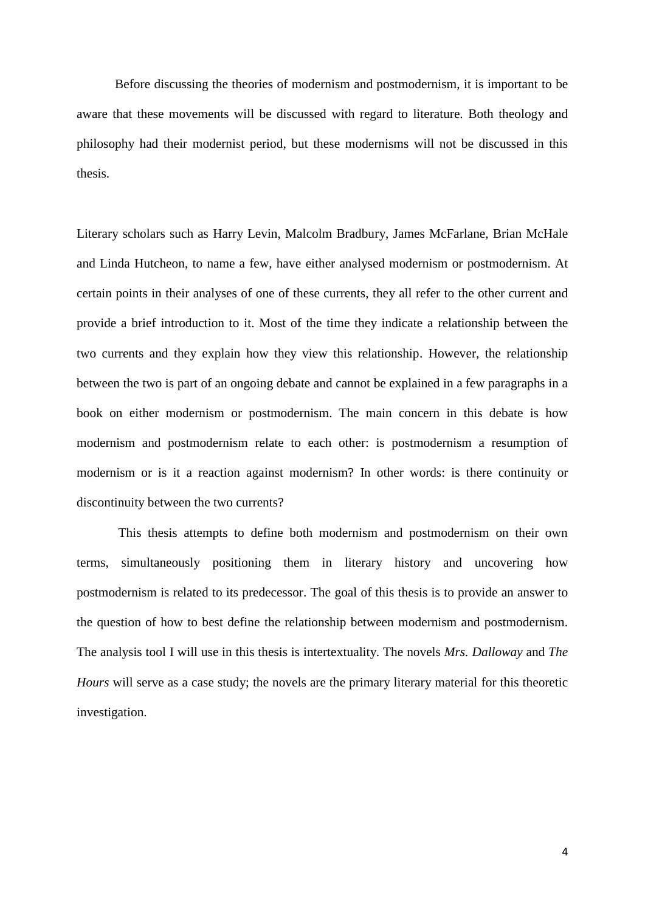Before discussing the theories of modernism and postmodernism, it is important to be aware that these movements will be discussed with regard to literature. Both theology and philosophy had their modernist period, but these modernisms will not be discussed in this thesis.

Literary scholars such as Harry Levin, Malcolm Bradbury, James McFarlane, Brian McHale and Linda Hutcheon, to name a few, have either analysed modernism or postmodernism. At certain points in their analyses of one of these currents, they all refer to the other current and provide a brief introduction to it. Most of the time they indicate a relationship between the two currents and they explain how they view this relationship. However, the relationship between the two is part of an ongoing debate and cannot be explained in a few paragraphs in a book on either modernism or postmodernism. The main concern in this debate is how modernism and postmodernism relate to each other: is postmodernism a resumption of modernism or is it a reaction against modernism? In other words: is there continuity or discontinuity between the two currents?

This thesis attempts to define both modernism and postmodernism on their own terms, simultaneously positioning them in literary history and uncovering how postmodernism is related to its predecessor. The goal of this thesis is to provide an answer to the question of how to best define the relationship between modernism and postmodernism. The analysis tool I will use in this thesis is intertextuality. The novels *Mrs. Dalloway* and *The Hours* will serve as a case study; the novels are the primary literary material for this theoretic investigation.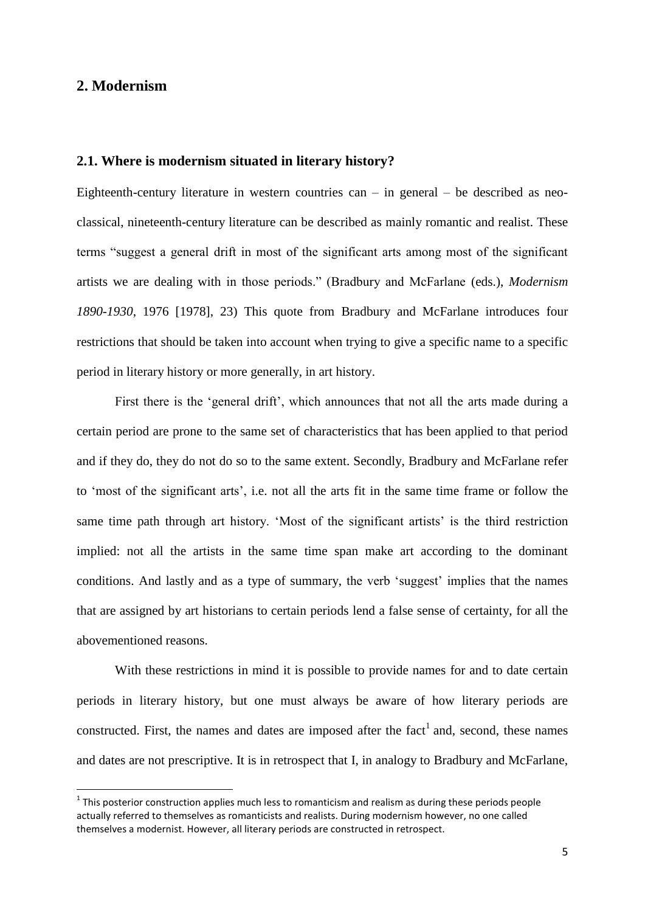## <span id="page-5-0"></span>**2. Modernism**

**.** 

#### <span id="page-5-1"></span>**2.1. Where is modernism situated in literary history?**

Eighteenth-century literature in western countries  $can - in general - be described as neo$ classical, nineteenth-century literature can be described as mainly romantic and realist. These terms "suggest a general drift in most of the significant arts among most of the significant artists we are dealing with in those periods." (Bradbury and McFarlane (eds.), *Modernism 1890-1930*, 1976 [1978], 23) This quote from Bradbury and McFarlane introduces four restrictions that should be taken into account when trying to give a specific name to a specific period in literary history or more generally, in art history.

First there is the 'general drift', which announces that not all the arts made during a certain period are prone to the same set of characteristics that has been applied to that period and if they do, they do not do so to the same extent. Secondly, Bradbury and McFarlane refer to "most of the significant arts", i.e. not all the arts fit in the same time frame or follow the same time path through art history. 'Most of the significant artists' is the third restriction implied: not all the artists in the same time span make art according to the dominant conditions. And lastly and as a type of summary, the verb 'suggest' implies that the names that are assigned by art historians to certain periods lend a false sense of certainty, for all the abovementioned reasons.

With these restrictions in mind it is possible to provide names for and to date certain periods in literary history, but one must always be aware of how literary periods are constructed. First, the names and dates are imposed after the fact<sup>1</sup> and, second, these names and dates are not prescriptive. It is in retrospect that I, in analogy to Bradbury and McFarlane,

 $1$  This posterior construction applies much less to romanticism and realism as during these periods people actually referred to themselves as romanticists and realists. During modernism however, no one called themselves a modernist. However, all literary periods are constructed in retrospect.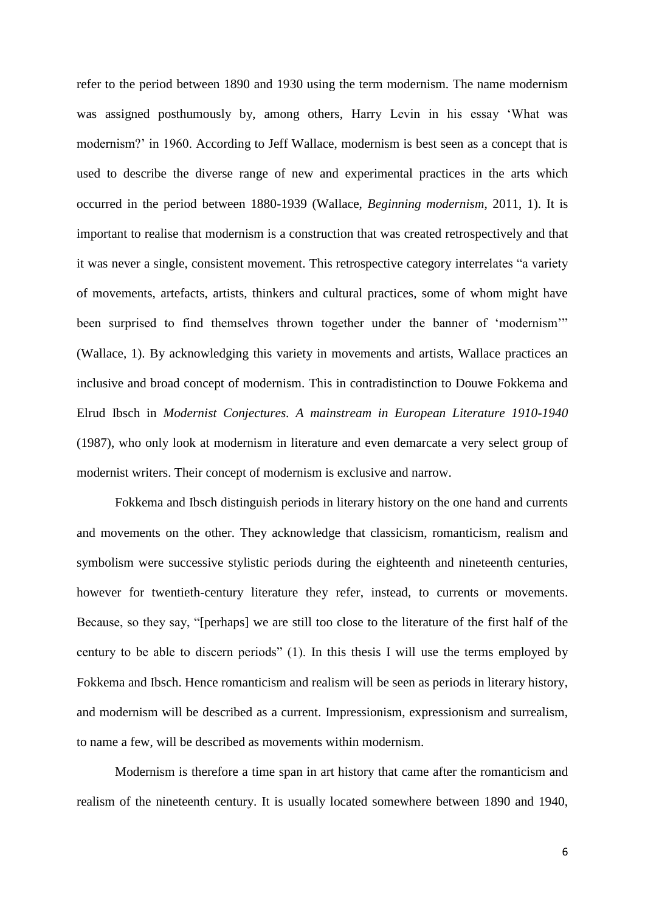refer to the period between 1890 and 1930 using the term modernism. The name modernism was assigned posthumously by, among others, Harry Levin in his essay "What was modernism?" in 1960. According to Jeff Wallace, modernism is best seen as a concept that is used to describe the diverse range of new and experimental practices in the arts which occurred in the period between 1880-1939 (Wallace, *Beginning modernism*, 2011, 1). It is important to realise that modernism is a construction that was created retrospectively and that it was never a single, consistent movement. This retrospective category interrelates "a variety of movements, artefacts, artists, thinkers and cultural practices, some of whom might have been surprised to find themselves thrown together under the banner of "modernism"" (Wallace, 1). By acknowledging this variety in movements and artists, Wallace practices an inclusive and broad concept of modernism. This in contradistinction to Douwe Fokkema and Elrud Ibsch in *Modernist Conjectures. A mainstream in European Literature 1910-1940* (1987), who only look at modernism in literature and even demarcate a very select group of modernist writers. Their concept of modernism is exclusive and narrow.

Fokkema and Ibsch distinguish periods in literary history on the one hand and currents and movements on the other. They acknowledge that classicism, romanticism, realism and symbolism were successive stylistic periods during the eighteenth and nineteenth centuries, however for twentieth-century literature they refer, instead, to currents or movements. Because, so they say, "[perhaps] we are still too close to the literature of the first half of the century to be able to discern periods" (1). In this thesis I will use the terms employed by Fokkema and Ibsch. Hence romanticism and realism will be seen as periods in literary history, and modernism will be described as a current. Impressionism, expressionism and surrealism, to name a few, will be described as movements within modernism.

Modernism is therefore a time span in art history that came after the romanticism and realism of the nineteenth century. It is usually located somewhere between 1890 and 1940,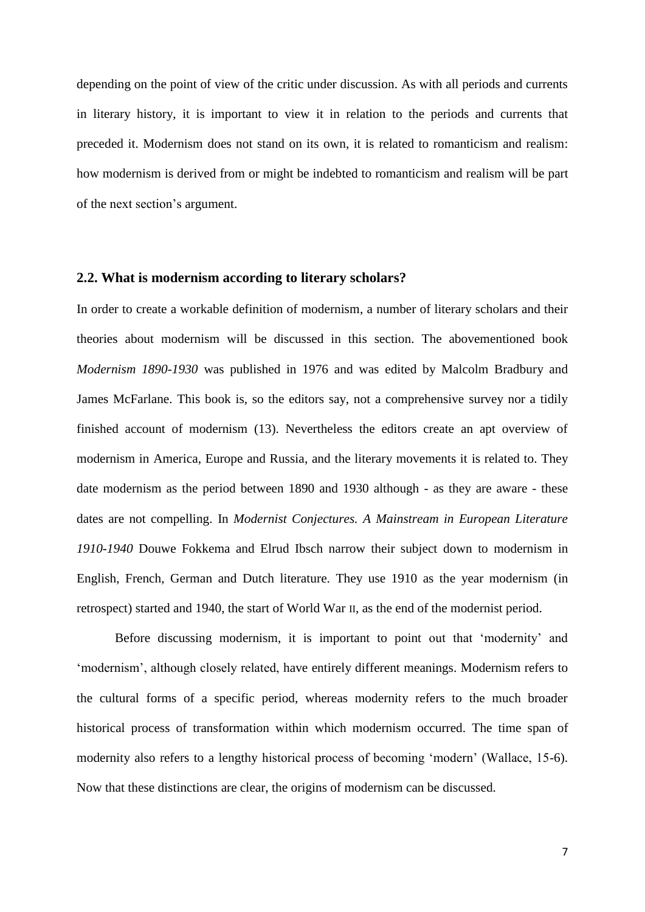depending on the point of view of the critic under discussion. As with all periods and currents in literary history, it is important to view it in relation to the periods and currents that preceded it. Modernism does not stand on its own, it is related to romanticism and realism: how modernism is derived from or might be indebted to romanticism and realism will be part of the next section"s argument.

#### <span id="page-7-0"></span>**2.2. What is modernism according to literary scholars?**

In order to create a workable definition of modernism, a number of literary scholars and their theories about modernism will be discussed in this section. The abovementioned book *Modernism 1890-1930* was published in 1976 and was edited by Malcolm Bradbury and James McFarlane. This book is, so the editors say, not a comprehensive survey nor a tidily finished account of modernism (13). Nevertheless the editors create an apt overview of modernism in America, Europe and Russia, and the literary movements it is related to. They date modernism as the period between 1890 and 1930 although - as they are aware - these dates are not compelling. In *Modernist Conjectures. A Mainstream in European Literature 1910-1940* Douwe Fokkema and Elrud Ibsch narrow their subject down to modernism in English, French, German and Dutch literature. They use 1910 as the year modernism (in retrospect) started and 1940, the start of World War II, as the end of the modernist period.

Before discussing modernism, it is important to point out that 'modernity' and 'modernism', although closely related, have entirely different meanings. Modernism refers to the cultural forms of a specific period, whereas modernity refers to the much broader historical process of transformation within which modernism occurred. The time span of modernity also refers to a lengthy historical process of becoming "modern" (Wallace, 15-6). Now that these distinctions are clear, the origins of modernism can be discussed.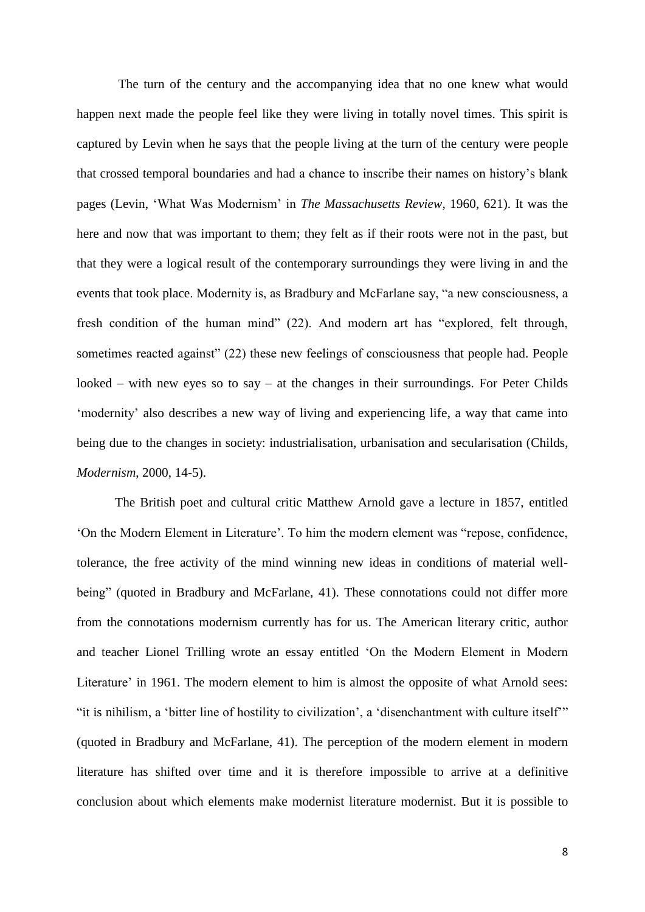The turn of the century and the accompanying idea that no one knew what would happen next made the people feel like they were living in totally novel times. This spirit is captured by Levin when he says that the people living at the turn of the century were people that crossed temporal boundaries and had a chance to inscribe their names on history"s blank pages (Levin, "What Was Modernism" in *The Massachusetts Review*, 1960, 621). It was the here and now that was important to them; they felt as if their roots were not in the past, but that they were a logical result of the contemporary surroundings they were living in and the events that took place. Modernity is, as Bradbury and McFarlane say, "a new consciousness, a fresh condition of the human mind" (22). And modern art has "explored, felt through, sometimes reacted against" (22) these new feelings of consciousness that people had. People looked – with new eyes so to say – at the changes in their surroundings. For Peter Childs "modernity" also describes a new way of living and experiencing life, a way that came into being due to the changes in society: industrialisation, urbanisation and secularisation (Childs, *Modernism*, 2000, 14-5).

The British poet and cultural critic Matthew Arnold gave a lecture in 1857, entitled "On the Modern Element in Literature". To him the modern element was "repose, confidence, tolerance, the free activity of the mind winning new ideas in conditions of material wellbeing" (quoted in Bradbury and McFarlane, 41). These connotations could not differ more from the connotations modernism currently has for us. The American literary critic, author and teacher Lionel Trilling wrote an essay entitled "On the Modern Element in Modern Literature' in 1961. The modern element to him is almost the opposite of what Arnold sees: "it is nihilism, a "bitter line of hostility to civilization", a "disenchantment with culture itself"" (quoted in Bradbury and McFarlane, 41). The perception of the modern element in modern literature has shifted over time and it is therefore impossible to arrive at a definitive conclusion about which elements make modernist literature modernist. But it is possible to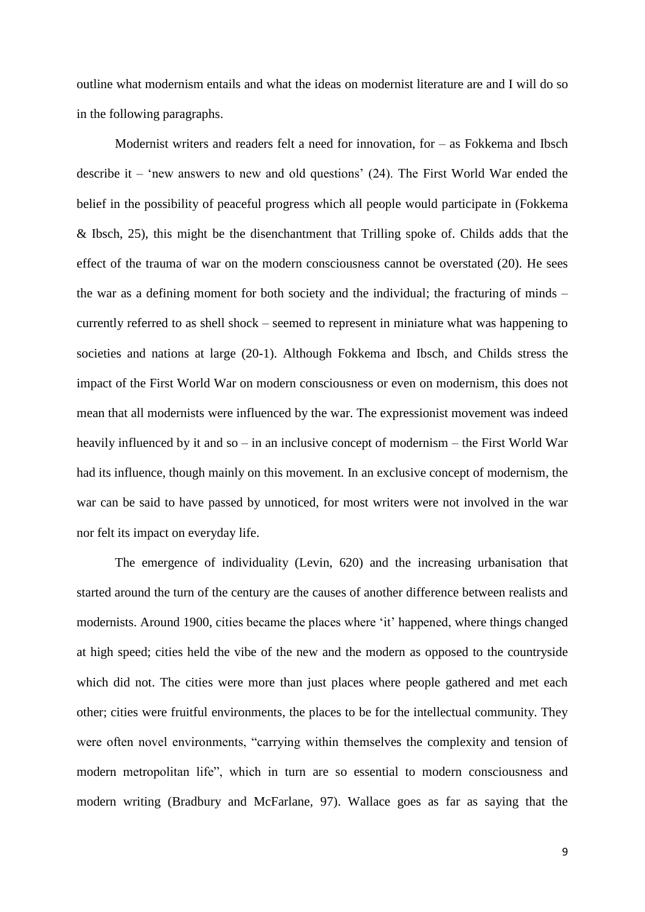outline what modernism entails and what the ideas on modernist literature are and I will do so in the following paragraphs.

Modernist writers and readers felt a need for innovation, for – as Fokkema and Ibsch describe it – 'new answers to new and old questions'  $(24)$ . The First World War ended the belief in the possibility of peaceful progress which all people would participate in (Fokkema & Ibsch, 25), this might be the disenchantment that Trilling spoke of. Childs adds that the effect of the trauma of war on the modern consciousness cannot be overstated (20). He sees the war as a defining moment for both society and the individual; the fracturing of minds – currently referred to as shell shock – seemed to represent in miniature what was happening to societies and nations at large (20-1). Although Fokkema and Ibsch, and Childs stress the impact of the First World War on modern consciousness or even on modernism, this does not mean that all modernists were influenced by the war. The expressionist movement was indeed heavily influenced by it and so – in an inclusive concept of modernism – the First World War had its influence, though mainly on this movement. In an exclusive concept of modernism, the war can be said to have passed by unnoticed, for most writers were not involved in the war nor felt its impact on everyday life.

The emergence of individuality (Levin, 620) and the increasing urbanisation that started around the turn of the century are the causes of another difference between realists and modernists. Around 1900, cities became the places where "it" happened, where things changed at high speed; cities held the vibe of the new and the modern as opposed to the countryside which did not. The cities were more than just places where people gathered and met each other; cities were fruitful environments, the places to be for the intellectual community. They were often novel environments, "carrying within themselves the complexity and tension of modern metropolitan life", which in turn are so essential to modern consciousness and modern writing (Bradbury and McFarlane, 97). Wallace goes as far as saying that the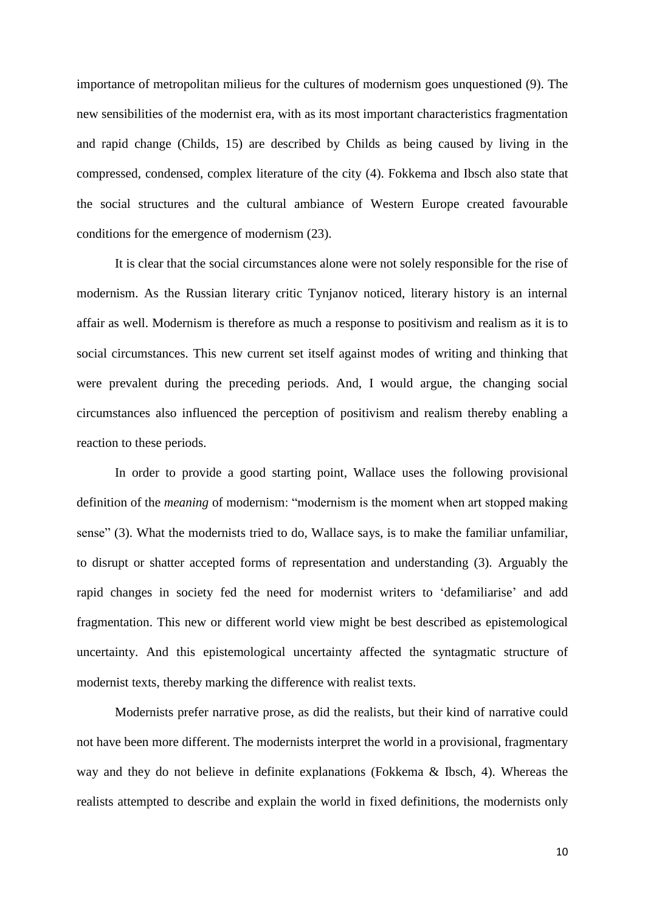importance of metropolitan milieus for the cultures of modernism goes unquestioned (9). The new sensibilities of the modernist era, with as its most important characteristics fragmentation and rapid change (Childs, 15) are described by Childs as being caused by living in the compressed, condensed, complex literature of the city (4). Fokkema and Ibsch also state that the social structures and the cultural ambiance of Western Europe created favourable conditions for the emergence of modernism (23).

It is clear that the social circumstances alone were not solely responsible for the rise of modernism. As the Russian literary critic Tynjanov noticed, literary history is an internal affair as well. Modernism is therefore as much a response to positivism and realism as it is to social circumstances. This new current set itself against modes of writing and thinking that were prevalent during the preceding periods. And, I would argue, the changing social circumstances also influenced the perception of positivism and realism thereby enabling a reaction to these periods.

In order to provide a good starting point, Wallace uses the following provisional definition of the *meaning* of modernism: "modernism is the moment when art stopped making sense" (3). What the modernists tried to do, Wallace says, is to make the familiar unfamiliar, to disrupt or shatter accepted forms of representation and understanding (3). Arguably the rapid changes in society fed the need for modernist writers to "defamiliarise" and add fragmentation. This new or different world view might be best described as epistemological uncertainty. And this epistemological uncertainty affected the syntagmatic structure of modernist texts, thereby marking the difference with realist texts.

Modernists prefer narrative prose, as did the realists, but their kind of narrative could not have been more different. The modernists interpret the world in a provisional, fragmentary way and they do not believe in definite explanations (Fokkema & Ibsch, 4). Whereas the realists attempted to describe and explain the world in fixed definitions, the modernists only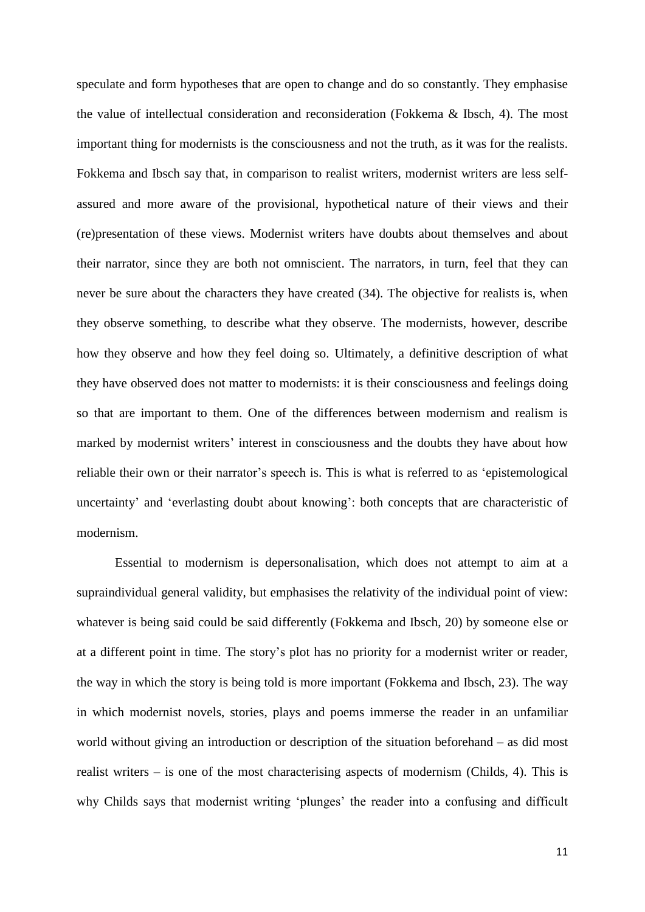speculate and form hypotheses that are open to change and do so constantly. They emphasise the value of intellectual consideration and reconsideration (Fokkema & Ibsch, 4). The most important thing for modernists is the consciousness and not the truth, as it was for the realists. Fokkema and Ibsch say that, in comparison to realist writers, modernist writers are less selfassured and more aware of the provisional, hypothetical nature of their views and their (re)presentation of these views. Modernist writers have doubts about themselves and about their narrator, since they are both not omniscient. The narrators, in turn, feel that they can never be sure about the characters they have created (34). The objective for realists is, when they observe something, to describe what they observe. The modernists, however, describe how they observe and how they feel doing so. Ultimately, a definitive description of what they have observed does not matter to modernists: it is their consciousness and feelings doing so that are important to them. One of the differences between modernism and realism is marked by modernist writers" interest in consciousness and the doubts they have about how reliable their own or their narrator's speech is. This is what is referred to as 'epistemological uncertainty' and 'everlasting doubt about knowing': both concepts that are characteristic of modernism.

Essential to modernism is depersonalisation, which does not attempt to aim at a supraindividual general validity, but emphasises the relativity of the individual point of view: whatever is being said could be said differently (Fokkema and Ibsch, 20) by someone else or at a different point in time. The story"s plot has no priority for a modernist writer or reader, the way in which the story is being told is more important (Fokkema and Ibsch, 23). The way in which modernist novels, stories, plays and poems immerse the reader in an unfamiliar world without giving an introduction or description of the situation beforehand – as did most realist writers – is one of the most characterising aspects of modernism (Childs, 4). This is why Childs says that modernist writing 'plunges' the reader into a confusing and difficult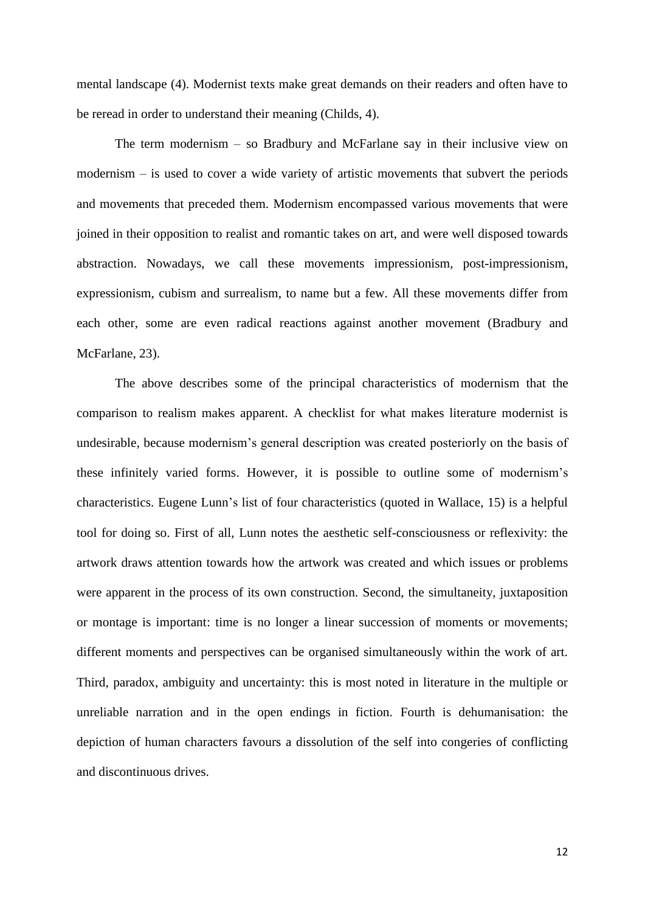mental landscape (4). Modernist texts make great demands on their readers and often have to be reread in order to understand their meaning (Childs, 4).

The term modernism – so Bradbury and McFarlane say in their inclusive view on modernism – is used to cover a wide variety of artistic movements that subvert the periods and movements that preceded them. Modernism encompassed various movements that were joined in their opposition to realist and romantic takes on art, and were well disposed towards abstraction. Nowadays, we call these movements impressionism, post-impressionism, expressionism, cubism and surrealism, to name but a few. All these movements differ from each other, some are even radical reactions against another movement (Bradbury and McFarlane, 23).

The above describes some of the principal characteristics of modernism that the comparison to realism makes apparent. A checklist for what makes literature modernist is undesirable, because modernism"s general description was created posteriorly on the basis of these infinitely varied forms. However, it is possible to outline some of modernism"s characteristics. Eugene Lunn"s list of four characteristics (quoted in Wallace, 15) is a helpful tool for doing so. First of all, Lunn notes the aesthetic self-consciousness or reflexivity: the artwork draws attention towards how the artwork was created and which issues or problems were apparent in the process of its own construction. Second, the simultaneity, juxtaposition or montage is important: time is no longer a linear succession of moments or movements; different moments and perspectives can be organised simultaneously within the work of art. Third, paradox, ambiguity and uncertainty: this is most noted in literature in the multiple or unreliable narration and in the open endings in fiction. Fourth is dehumanisation: the depiction of human characters favours a dissolution of the self into congeries of conflicting and discontinuous drives.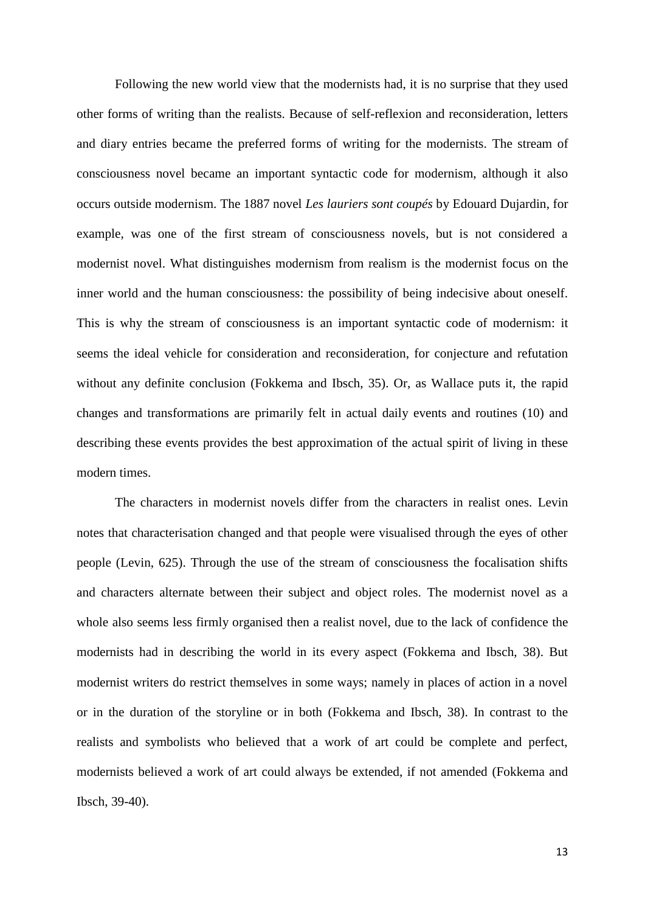Following the new world view that the modernists had, it is no surprise that they used other forms of writing than the realists. Because of self-reflexion and reconsideration, letters and diary entries became the preferred forms of writing for the modernists. The stream of consciousness novel became an important syntactic code for modernism, although it also occurs outside modernism. The 1887 novel *Les lauriers sont coupés* by Edouard Dujardin, for example, was one of the first stream of consciousness novels, but is not considered a modernist novel. What distinguishes modernism from realism is the modernist focus on the inner world and the human consciousness: the possibility of being indecisive about oneself. This is why the stream of consciousness is an important syntactic code of modernism: it seems the ideal vehicle for consideration and reconsideration, for conjecture and refutation without any definite conclusion (Fokkema and Ibsch, 35). Or, as Wallace puts it, the rapid changes and transformations are primarily felt in actual daily events and routines (10) and describing these events provides the best approximation of the actual spirit of living in these modern times.

The characters in modernist novels differ from the characters in realist ones. Levin notes that characterisation changed and that people were visualised through the eyes of other people (Levin, 625). Through the use of the stream of consciousness the focalisation shifts and characters alternate between their subject and object roles. The modernist novel as a whole also seems less firmly organised then a realist novel, due to the lack of confidence the modernists had in describing the world in its every aspect (Fokkema and Ibsch, 38). But modernist writers do restrict themselves in some ways; namely in places of action in a novel or in the duration of the storyline or in both (Fokkema and Ibsch, 38). In contrast to the realists and symbolists who believed that a work of art could be complete and perfect, modernists believed a work of art could always be extended, if not amended (Fokkema and Ibsch, 39-40).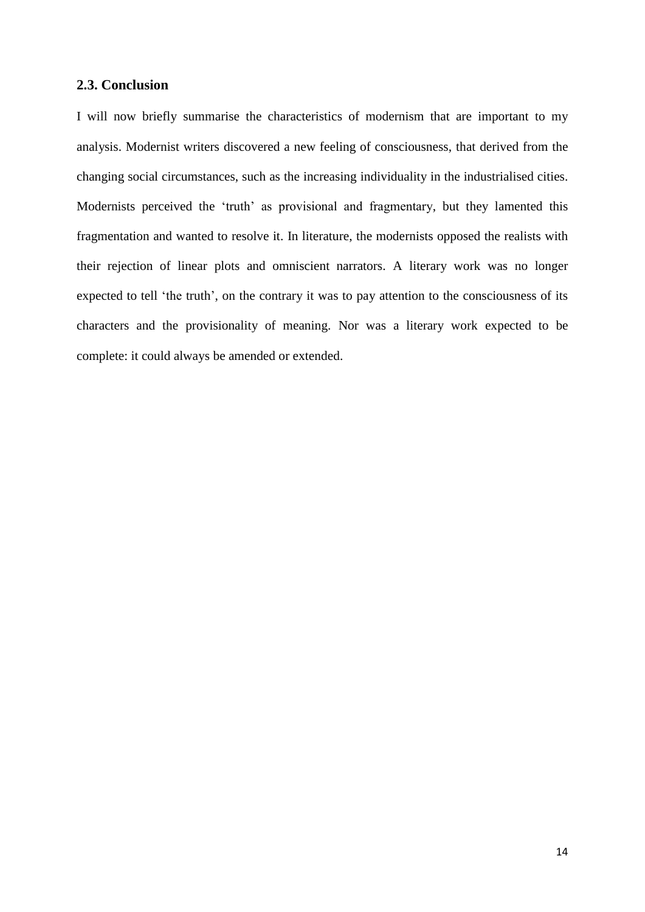#### <span id="page-14-0"></span>**2.3. Conclusion**

I will now briefly summarise the characteristics of modernism that are important to my analysis. Modernist writers discovered a new feeling of consciousness, that derived from the changing social circumstances, such as the increasing individuality in the industrialised cities. Modernists perceived the 'truth' as provisional and fragmentary, but they lamented this fragmentation and wanted to resolve it. In literature, the modernists opposed the realists with their rejection of linear plots and omniscient narrators. A literary work was no longer expected to tell 'the truth', on the contrary it was to pay attention to the consciousness of its characters and the provisionality of meaning. Nor was a literary work expected to be complete: it could always be amended or extended.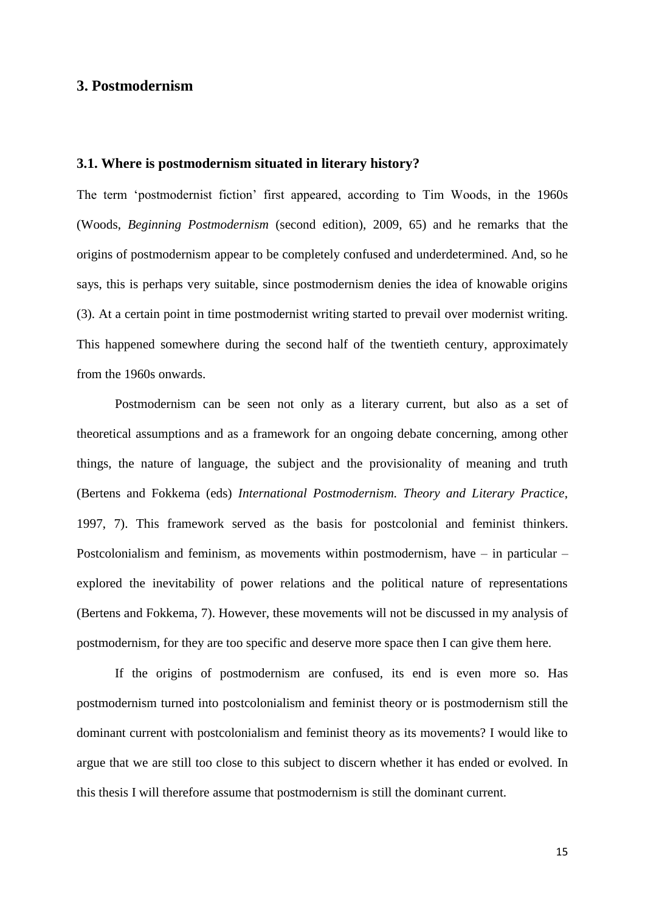## <span id="page-15-0"></span>**3. Postmodernism**

#### <span id="page-15-1"></span>**3.1. Where is postmodernism situated in literary history?**

The term "postmodernist fiction" first appeared, according to Tim Woods, in the 1960s (Woods, *Beginning Postmodernism* (second edition), 2009, 65) and he remarks that the origins of postmodernism appear to be completely confused and underdetermined. And, so he says, this is perhaps very suitable, since postmodernism denies the idea of knowable origins (3). At a certain point in time postmodernist writing started to prevail over modernist writing. This happened somewhere during the second half of the twentieth century, approximately from the 1960s onwards.

Postmodernism can be seen not only as a literary current, but also as a set of theoretical assumptions and as a framework for an ongoing debate concerning, among other things, the nature of language, the subject and the provisionality of meaning and truth (Bertens and Fokkema (eds) *International Postmodernism. Theory and Literary Practice*, 1997, 7). This framework served as the basis for postcolonial and feminist thinkers. Postcolonialism and feminism, as movements within postmodernism, have – in particular – explored the inevitability of power relations and the political nature of representations (Bertens and Fokkema, 7). However, these movements will not be discussed in my analysis of postmodernism, for they are too specific and deserve more space then I can give them here.

If the origins of postmodernism are confused, its end is even more so. Has postmodernism turned into postcolonialism and feminist theory or is postmodernism still the dominant current with postcolonialism and feminist theory as its movements? I would like to argue that we are still too close to this subject to discern whether it has ended or evolved. In this thesis I will therefore assume that postmodernism is still the dominant current.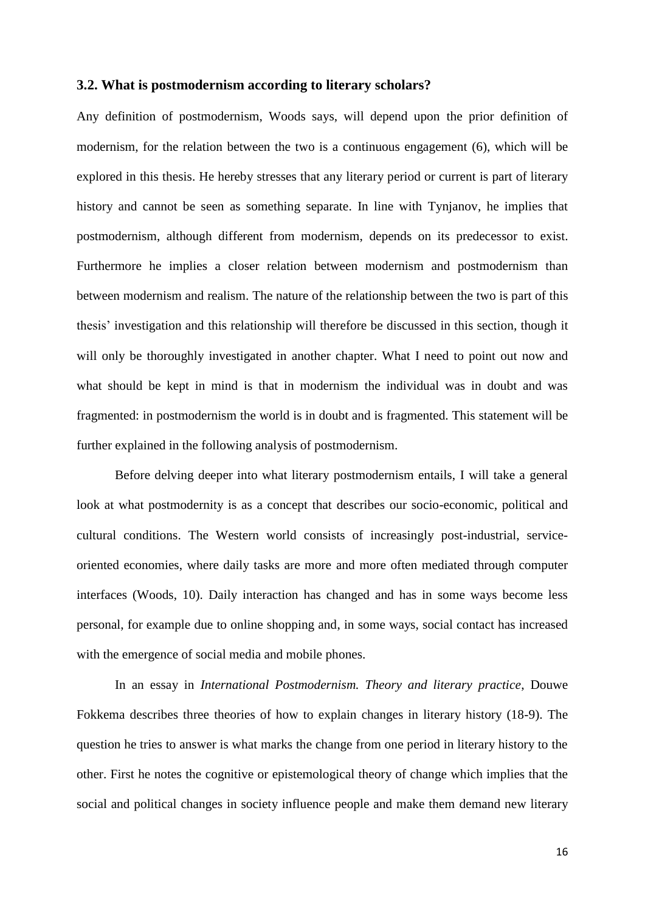#### <span id="page-16-0"></span>**3.2. What is postmodernism according to literary scholars?**

Any definition of postmodernism, Woods says, will depend upon the prior definition of modernism, for the relation between the two is a continuous engagement (6), which will be explored in this thesis. He hereby stresses that any literary period or current is part of literary history and cannot be seen as something separate. In line with Tynjanov, he implies that postmodernism, although different from modernism, depends on its predecessor to exist. Furthermore he implies a closer relation between modernism and postmodernism than between modernism and realism. The nature of the relationship between the two is part of this thesis" investigation and this relationship will therefore be discussed in this section, though it will only be thoroughly investigated in another chapter. What I need to point out now and what should be kept in mind is that in modernism the individual was in doubt and was fragmented: in postmodernism the world is in doubt and is fragmented. This statement will be further explained in the following analysis of postmodernism.

Before delving deeper into what literary postmodernism entails, I will take a general look at what postmodernity is as a concept that describes our socio-economic, political and cultural conditions. The Western world consists of increasingly post-industrial, serviceoriented economies, where daily tasks are more and more often mediated through computer interfaces (Woods, 10). Daily interaction has changed and has in some ways become less personal, for example due to online shopping and, in some ways, social contact has increased with the emergence of social media and mobile phones.

In an essay in *International Postmodernism. Theory and literary practice*, Douwe Fokkema describes three theories of how to explain changes in literary history (18-9). The question he tries to answer is what marks the change from one period in literary history to the other. First he notes the cognitive or epistemological theory of change which implies that the social and political changes in society influence people and make them demand new literary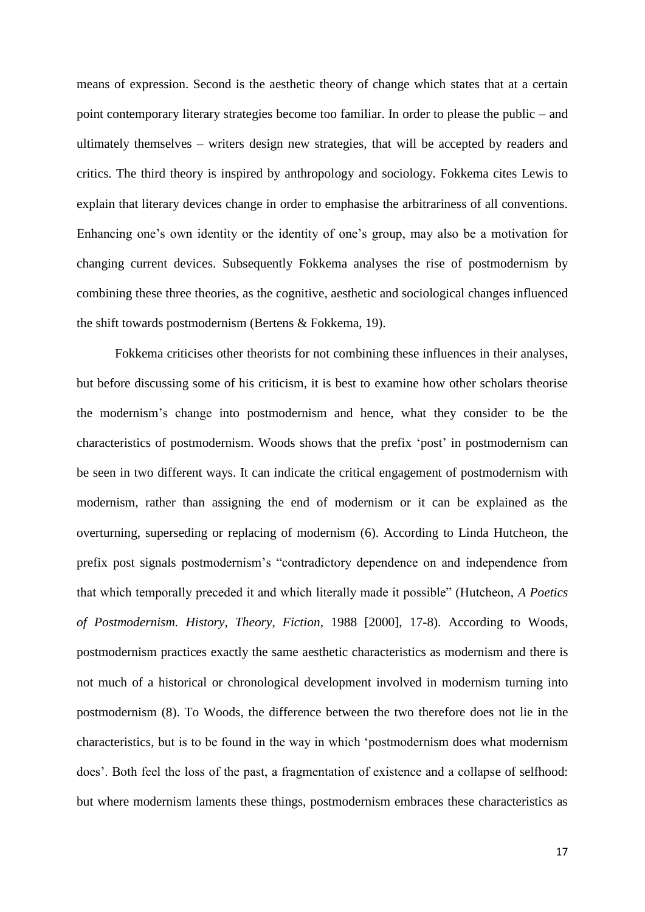means of expression. Second is the aesthetic theory of change which states that at a certain point contemporary literary strategies become too familiar. In order to please the public – and ultimately themselves – writers design new strategies, that will be accepted by readers and critics. The third theory is inspired by anthropology and sociology. Fokkema cites Lewis to explain that literary devices change in order to emphasise the arbitrariness of all conventions. Enhancing one"s own identity or the identity of one"s group, may also be a motivation for changing current devices. Subsequently Fokkema analyses the rise of postmodernism by combining these three theories, as the cognitive, aesthetic and sociological changes influenced the shift towards postmodernism (Bertens & Fokkema, 19).

Fokkema criticises other theorists for not combining these influences in their analyses, but before discussing some of his criticism, it is best to examine how other scholars theorise the modernism"s change into postmodernism and hence, what they consider to be the characteristics of postmodernism. Woods shows that the prefix 'post' in postmodernism can be seen in two different ways. It can indicate the critical engagement of postmodernism with modernism, rather than assigning the end of modernism or it can be explained as the overturning, superseding or replacing of modernism (6). According to Linda Hutcheon, the prefix post signals postmodernism"s "contradictory dependence on and independence from that which temporally preceded it and which literally made it possible" (Hutcheon, *A Poetics of Postmodernism. History, Theory, Fiction*, 1988 [2000], 17-8). According to Woods, postmodernism practices exactly the same aesthetic characteristics as modernism and there is not much of a historical or chronological development involved in modernism turning into postmodernism (8). To Woods, the difference between the two therefore does not lie in the characteristics, but is to be found in the way in which "postmodernism does what modernism does'. Both feel the loss of the past, a fragmentation of existence and a collapse of selfhood: but where modernism laments these things, postmodernism embraces these characteristics as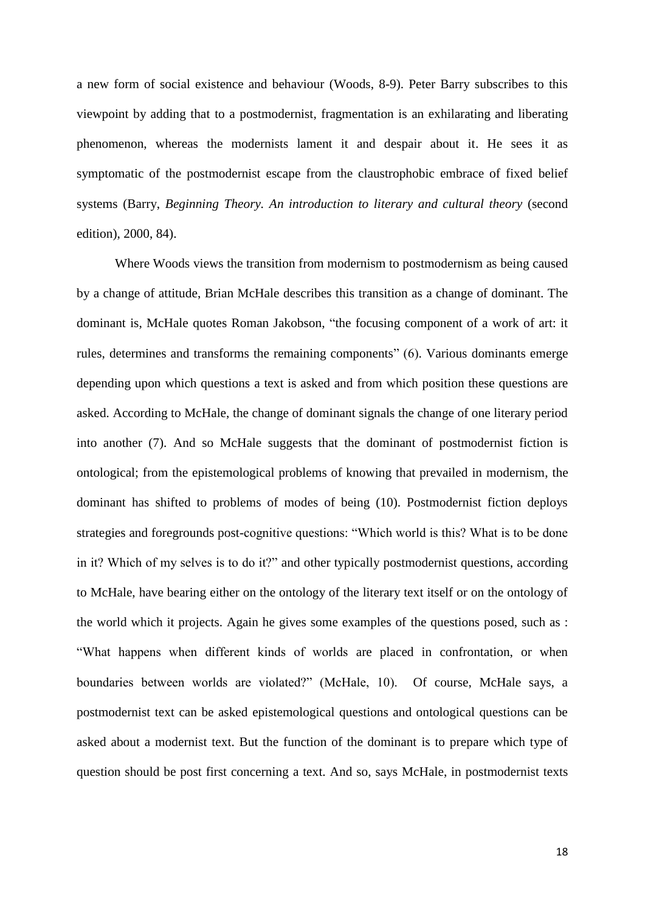a new form of social existence and behaviour (Woods, 8-9). Peter Barry subscribes to this viewpoint by adding that to a postmodernist, fragmentation is an exhilarating and liberating phenomenon, whereas the modernists lament it and despair about it. He sees it as symptomatic of the postmodernist escape from the claustrophobic embrace of fixed belief systems (Barry, *Beginning Theory. An introduction to literary and cultural theory* (second edition), 2000, 84).

Where Woods views the transition from modernism to postmodernism as being caused by a change of attitude, Brian McHale describes this transition as a change of dominant. The dominant is, McHale quotes Roman Jakobson, "the focusing component of a work of art: it rules, determines and transforms the remaining components" (6). Various dominants emerge depending upon which questions a text is asked and from which position these questions are asked. According to McHale, the change of dominant signals the change of one literary period into another (7). And so McHale suggests that the dominant of postmodernist fiction is ontological; from the epistemological problems of knowing that prevailed in modernism, the dominant has shifted to problems of modes of being (10). Postmodernist fiction deploys strategies and foregrounds post-cognitive questions: "Which world is this? What is to be done in it? Which of my selves is to do it?" and other typically postmodernist questions, according to McHale, have bearing either on the ontology of the literary text itself or on the ontology of the world which it projects. Again he gives some examples of the questions posed, such as : "What happens when different kinds of worlds are placed in confrontation, or when boundaries between worlds are violated?" (McHale, 10). Of course, McHale says, a postmodernist text can be asked epistemological questions and ontological questions can be asked about a modernist text. But the function of the dominant is to prepare which type of question should be post first concerning a text. And so, says McHale, in postmodernist texts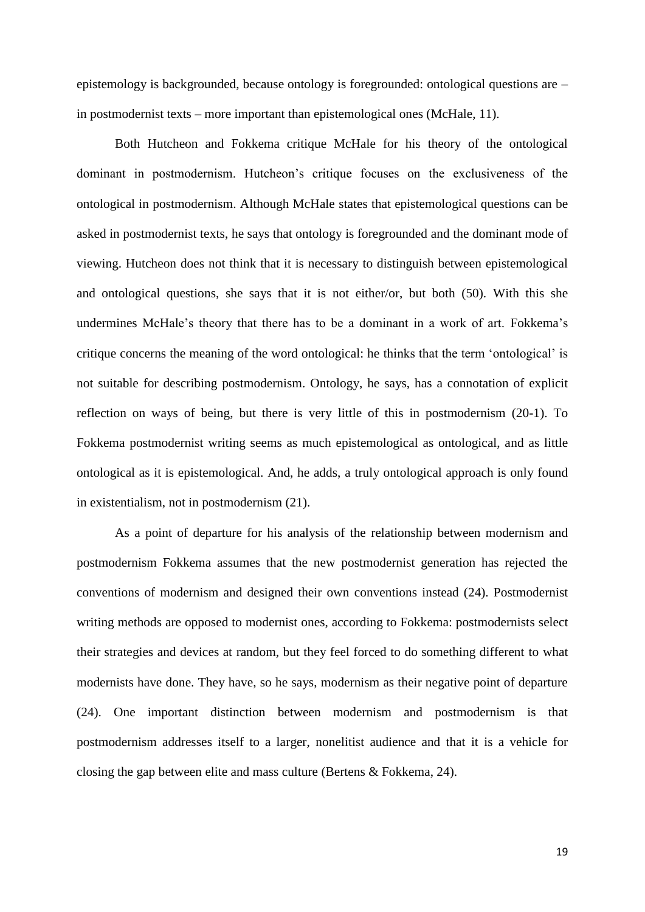epistemology is backgrounded, because ontology is foregrounded: ontological questions are – in postmodernist texts – more important than epistemological ones (McHale, 11).

Both Hutcheon and Fokkema critique McHale for his theory of the ontological dominant in postmodernism. Hutcheon"s critique focuses on the exclusiveness of the ontological in postmodernism. Although McHale states that epistemological questions can be asked in postmodernist texts, he says that ontology is foregrounded and the dominant mode of viewing. Hutcheon does not think that it is necessary to distinguish between epistemological and ontological questions, she says that it is not either/or, but both (50). With this she undermines McHale"s theory that there has to be a dominant in a work of art. Fokkema"s critique concerns the meaning of the word ontological: he thinks that the term "ontological" is not suitable for describing postmodernism. Ontology, he says, has a connotation of explicit reflection on ways of being, but there is very little of this in postmodernism (20-1). To Fokkema postmodernist writing seems as much epistemological as ontological, and as little ontological as it is epistemological. And, he adds, a truly ontological approach is only found in existentialism, not in postmodernism (21).

As a point of departure for his analysis of the relationship between modernism and postmodernism Fokkema assumes that the new postmodernist generation has rejected the conventions of modernism and designed their own conventions instead (24). Postmodernist writing methods are opposed to modernist ones, according to Fokkema: postmodernists select their strategies and devices at random, but they feel forced to do something different to what modernists have done. They have, so he says, modernism as their negative point of departure (24). One important distinction between modernism and postmodernism is that postmodernism addresses itself to a larger, nonelitist audience and that it is a vehicle for closing the gap between elite and mass culture (Bertens & Fokkema, 24).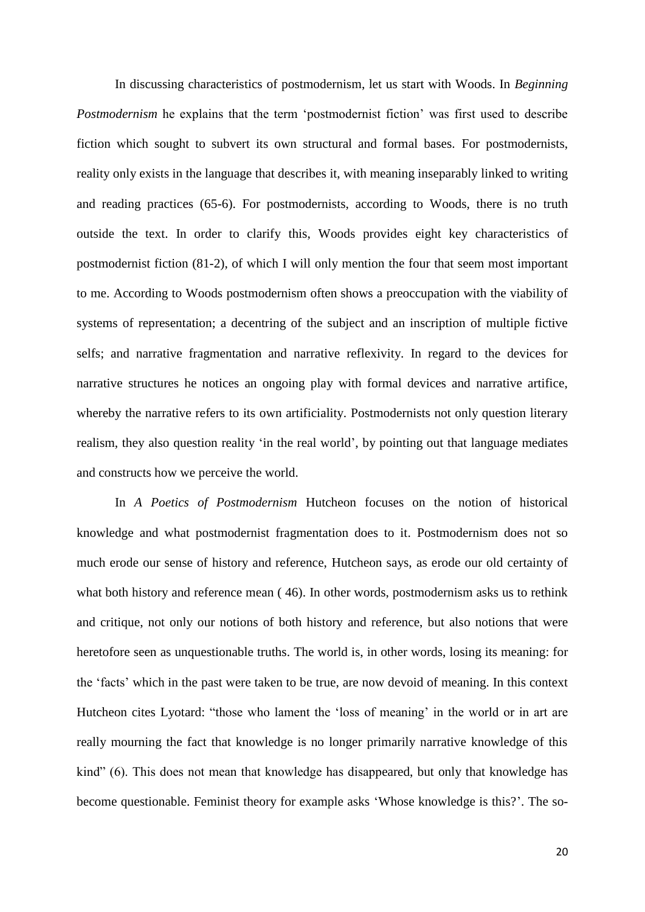In discussing characteristics of postmodernism, let us start with Woods. In *Beginning Postmodernism* he explains that the term 'postmodernist fiction' was first used to describe fiction which sought to subvert its own structural and formal bases. For postmodernists, reality only exists in the language that describes it, with meaning inseparably linked to writing and reading practices (65-6). For postmodernists, according to Woods, there is no truth outside the text. In order to clarify this, Woods provides eight key characteristics of postmodernist fiction (81-2), of which I will only mention the four that seem most important to me. According to Woods postmodernism often shows a preoccupation with the viability of systems of representation; a decentring of the subject and an inscription of multiple fictive selfs; and narrative fragmentation and narrative reflexivity. In regard to the devices for narrative structures he notices an ongoing play with formal devices and narrative artifice, whereby the narrative refers to its own artificiality. Postmodernists not only question literary realism, they also question reality "in the real world", by pointing out that language mediates and constructs how we perceive the world.

In *A Poetics of Postmodernism* Hutcheon focuses on the notion of historical knowledge and what postmodernist fragmentation does to it. Postmodernism does not so much erode our sense of history and reference, Hutcheon says, as erode our old certainty of what both history and reference mean (46). In other words, postmodernism asks us to rethink and critique, not only our notions of both history and reference, but also notions that were heretofore seen as unquestionable truths. The world is, in other words, losing its meaning: for the "facts" which in the past were taken to be true, are now devoid of meaning. In this context Hutcheon cites Lyotard: "those who lament the 'loss of meaning' in the world or in art are really mourning the fact that knowledge is no longer primarily narrative knowledge of this kind" (6). This does not mean that knowledge has disappeared, but only that knowledge has become questionable. Feminist theory for example asks "Whose knowledge is this?". The so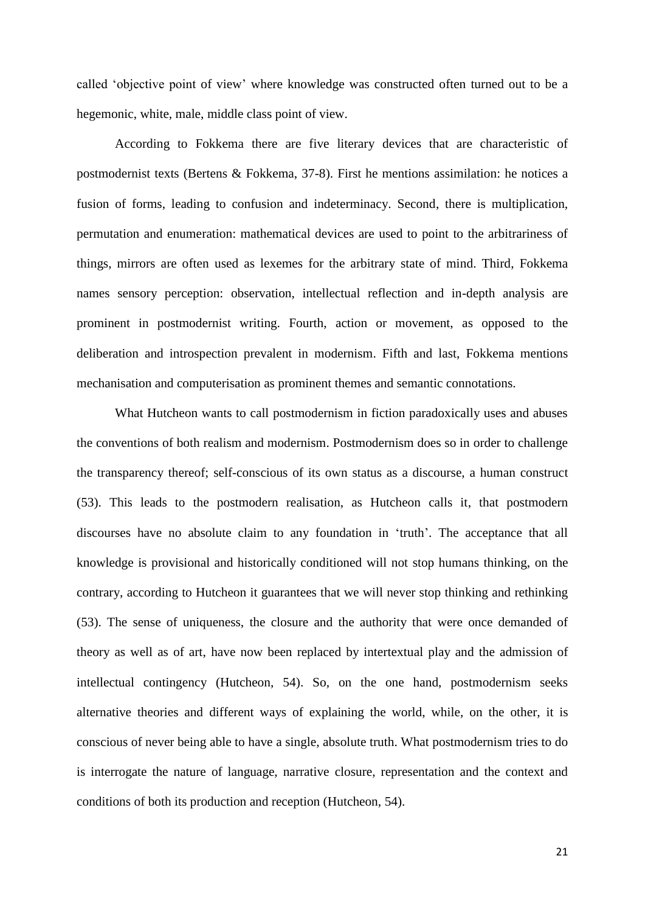called "objective point of view" where knowledge was constructed often turned out to be a hegemonic, white, male, middle class point of view.

According to Fokkema there are five literary devices that are characteristic of postmodernist texts (Bertens & Fokkema, 37-8). First he mentions assimilation: he notices a fusion of forms, leading to confusion and indeterminacy. Second, there is multiplication, permutation and enumeration: mathematical devices are used to point to the arbitrariness of things, mirrors are often used as lexemes for the arbitrary state of mind. Third, Fokkema names sensory perception: observation, intellectual reflection and in-depth analysis are prominent in postmodernist writing. Fourth, action or movement, as opposed to the deliberation and introspection prevalent in modernism. Fifth and last, Fokkema mentions mechanisation and computerisation as prominent themes and semantic connotations.

What Hutcheon wants to call postmodernism in fiction paradoxically uses and abuses the conventions of both realism and modernism. Postmodernism does so in order to challenge the transparency thereof; self-conscious of its own status as a discourse, a human construct (53). This leads to the postmodern realisation, as Hutcheon calls it, that postmodern discourses have no absolute claim to any foundation in "truth". The acceptance that all knowledge is provisional and historically conditioned will not stop humans thinking, on the contrary, according to Hutcheon it guarantees that we will never stop thinking and rethinking (53). The sense of uniqueness, the closure and the authority that were once demanded of theory as well as of art, have now been replaced by intertextual play and the admission of intellectual contingency (Hutcheon, 54). So, on the one hand, postmodernism seeks alternative theories and different ways of explaining the world, while, on the other, it is conscious of never being able to have a single, absolute truth. What postmodernism tries to do is interrogate the nature of language, narrative closure, representation and the context and conditions of both its production and reception (Hutcheon, 54).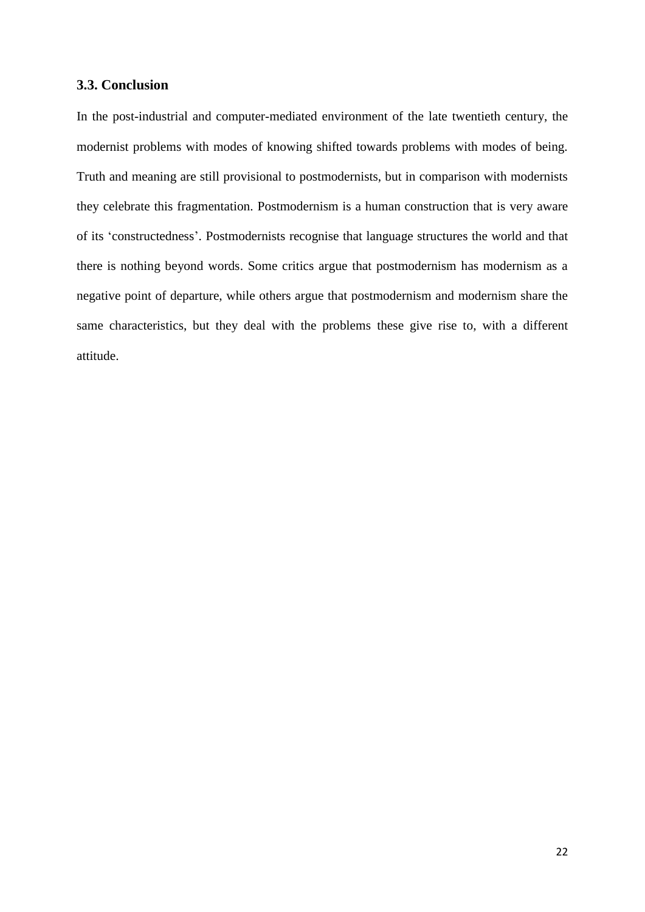#### <span id="page-22-0"></span>**3.3. Conclusion**

In the post-industrial and computer-mediated environment of the late twentieth century, the modernist problems with modes of knowing shifted towards problems with modes of being. Truth and meaning are still provisional to postmodernists, but in comparison with modernists they celebrate this fragmentation. Postmodernism is a human construction that is very aware of its "constructedness". Postmodernists recognise that language structures the world and that there is nothing beyond words. Some critics argue that postmodernism has modernism as a negative point of departure, while others argue that postmodernism and modernism share the same characteristics, but they deal with the problems these give rise to, with a different attitude.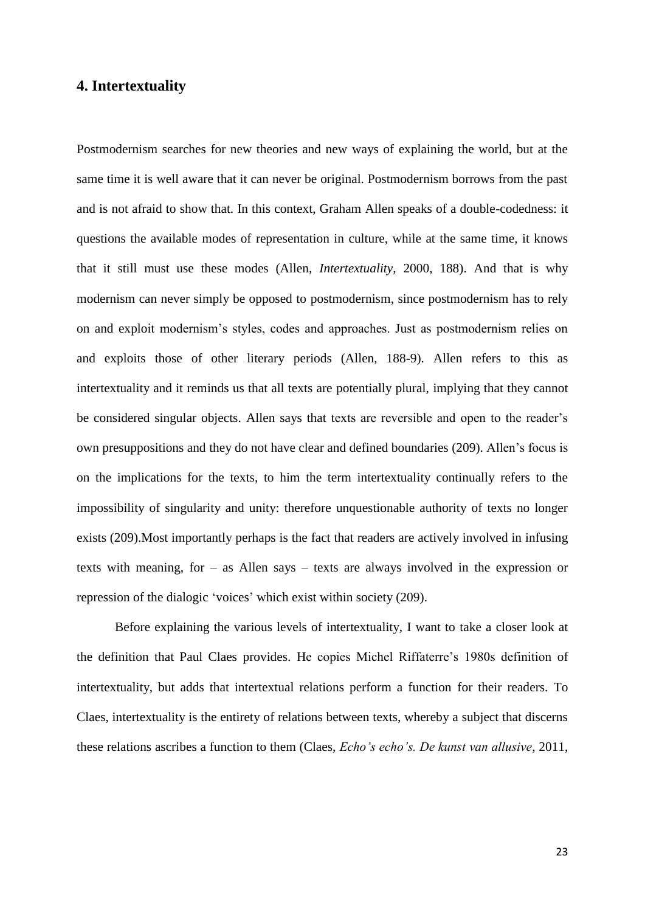## <span id="page-23-0"></span>**4. Intertextuality**

Postmodernism searches for new theories and new ways of explaining the world, but at the same time it is well aware that it can never be original. Postmodernism borrows from the past and is not afraid to show that. In this context, Graham Allen speaks of a double-codedness: it questions the available modes of representation in culture, while at the same time, it knows that it still must use these modes (Allen, *Intertextuality*, 2000, 188). And that is why modernism can never simply be opposed to postmodernism, since postmodernism has to rely on and exploit modernism"s styles, codes and approaches. Just as postmodernism relies on and exploits those of other literary periods (Allen, 188-9). Allen refers to this as intertextuality and it reminds us that all texts are potentially plural, implying that they cannot be considered singular objects. Allen says that texts are reversible and open to the reader"s own presuppositions and they do not have clear and defined boundaries (209). Allen"s focus is on the implications for the texts, to him the term intertextuality continually refers to the impossibility of singularity and unity: therefore unquestionable authority of texts no longer exists (209).Most importantly perhaps is the fact that readers are actively involved in infusing texts with meaning, for – as Allen says – texts are always involved in the expression or repression of the dialogic "voices" which exist within society (209).

Before explaining the various levels of intertextuality, I want to take a closer look at the definition that Paul Claes provides. He copies Michel Riffaterre"s 1980s definition of intertextuality, but adds that intertextual relations perform a function for their readers. To Claes, intertextuality is the entirety of relations between texts, whereby a subject that discerns these relations ascribes a function to them (Claes, *Echo's echo's. De kunst van allusive*, 2011,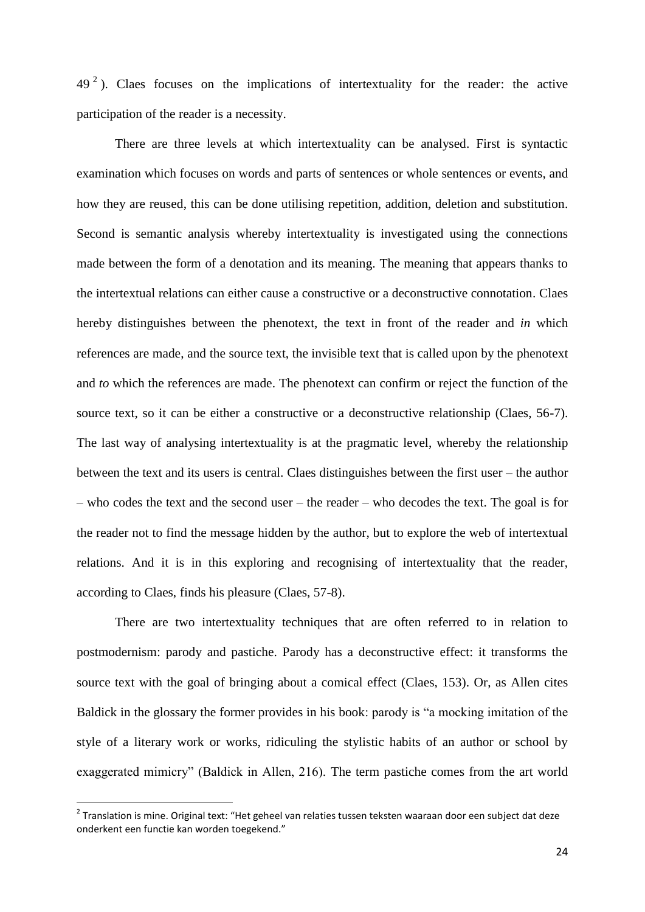$49<sup>2</sup>$ ). Claes focuses on the implications of intertextuality for the reader: the active participation of the reader is a necessity.

There are three levels at which intertextuality can be analysed. First is syntactic examination which focuses on words and parts of sentences or whole sentences or events, and how they are reused, this can be done utilising repetition, addition, deletion and substitution. Second is semantic analysis whereby intertextuality is investigated using the connections made between the form of a denotation and its meaning. The meaning that appears thanks to the intertextual relations can either cause a constructive or a deconstructive connotation. Claes hereby distinguishes between the phenotext, the text in front of the reader and *in* which references are made, and the source text, the invisible text that is called upon by the phenotext and *to* which the references are made. The phenotext can confirm or reject the function of the source text, so it can be either a constructive or a deconstructive relationship (Claes, 56-7). The last way of analysing intertextuality is at the pragmatic level, whereby the relationship between the text and its users is central. Claes distinguishes between the first user – the author – who codes the text and the second user – the reader – who decodes the text. The goal is for the reader not to find the message hidden by the author, but to explore the web of intertextual relations. And it is in this exploring and recognising of intertextuality that the reader, according to Claes, finds his pleasure (Claes, 57-8).

There are two intertextuality techniques that are often referred to in relation to postmodernism: parody and pastiche. Parody has a deconstructive effect: it transforms the source text with the goal of bringing about a comical effect (Claes, 153). Or, as Allen cites Baldick in the glossary the former provides in his book: parody is "a mocking imitation of the style of a literary work or works, ridiculing the stylistic habits of an author or school by exaggerated mimicry" (Baldick in Allen, 216). The term pastiche comes from the art world

1

 $2$  Translation is mine. Original text: "Het geheel van relaties tussen teksten waaraan door een subject dat deze onderkent een functie kan worden toegekend."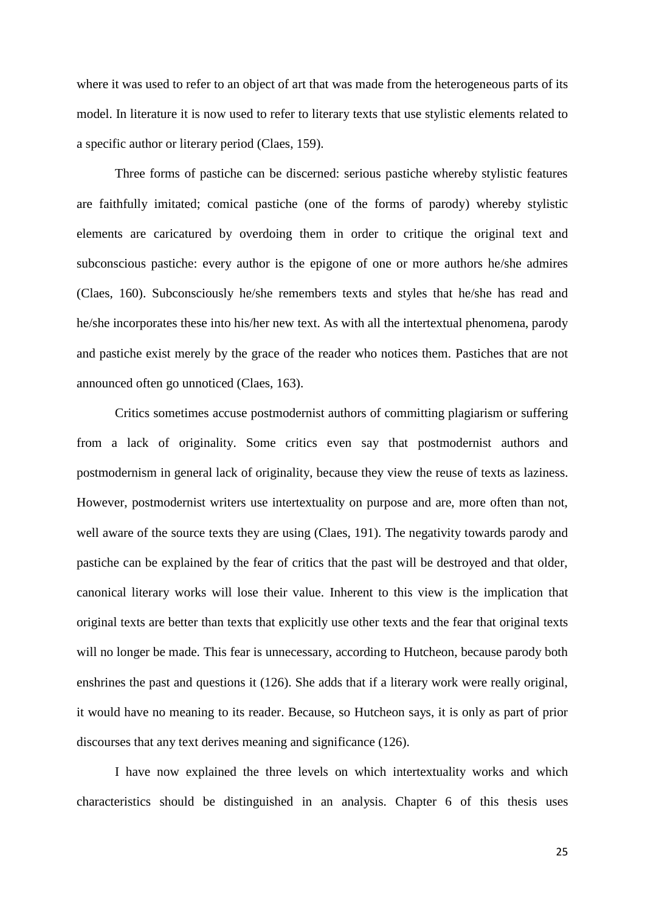where it was used to refer to an object of art that was made from the heterogeneous parts of its model. In literature it is now used to refer to literary texts that use stylistic elements related to a specific author or literary period (Claes, 159).

Three forms of pastiche can be discerned: serious pastiche whereby stylistic features are faithfully imitated; comical pastiche (one of the forms of parody) whereby stylistic elements are caricatured by overdoing them in order to critique the original text and subconscious pastiche: every author is the epigone of one or more authors he/she admires (Claes, 160). Subconsciously he/she remembers texts and styles that he/she has read and he/she incorporates these into his/her new text. As with all the intertextual phenomena, parody and pastiche exist merely by the grace of the reader who notices them. Pastiches that are not announced often go unnoticed (Claes, 163).

Critics sometimes accuse postmodernist authors of committing plagiarism or suffering from a lack of originality. Some critics even say that postmodernist authors and postmodernism in general lack of originality, because they view the reuse of texts as laziness. However, postmodernist writers use intertextuality on purpose and are, more often than not, well aware of the source texts they are using (Claes, 191). The negativity towards parody and pastiche can be explained by the fear of critics that the past will be destroyed and that older, canonical literary works will lose their value. Inherent to this view is the implication that original texts are better than texts that explicitly use other texts and the fear that original texts will no longer be made. This fear is unnecessary, according to Hutcheon, because parody both enshrines the past and questions it (126). She adds that if a literary work were really original, it would have no meaning to its reader. Because, so Hutcheon says, it is only as part of prior discourses that any text derives meaning and significance (126).

I have now explained the three levels on which intertextuality works and which characteristics should be distinguished in an analysis. Chapter 6 of this thesis uses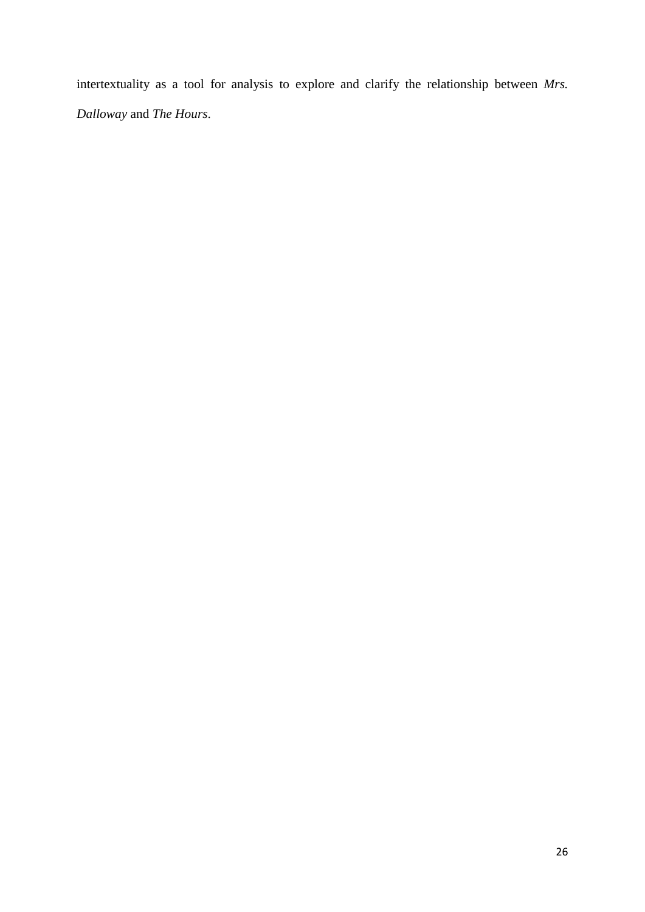intertextuality as a tool for analysis to explore and clarify the relationship between *Mrs. Dalloway* and *The Hours*.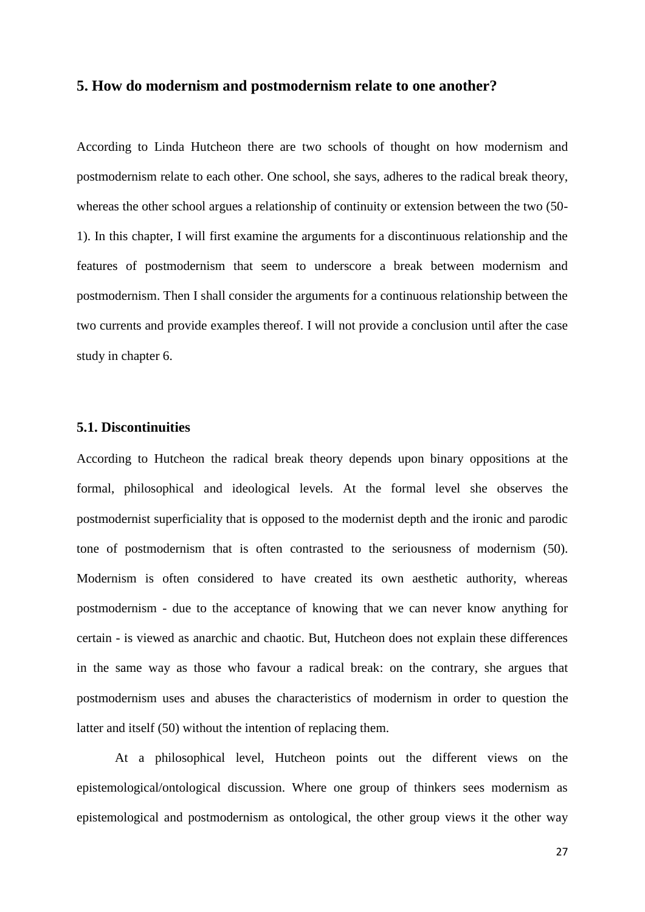## <span id="page-27-0"></span>**5. How do modernism and postmodernism relate to one another?**

According to Linda Hutcheon there are two schools of thought on how modernism and postmodernism relate to each other. One school, she says, adheres to the radical break theory, whereas the other school argues a relationship of continuity or extension between the two (50- 1). In this chapter, I will first examine the arguments for a discontinuous relationship and the features of postmodernism that seem to underscore a break between modernism and postmodernism. Then I shall consider the arguments for a continuous relationship between the two currents and provide examples thereof. I will not provide a conclusion until after the case study in chapter 6.

#### <span id="page-27-1"></span>**5.1. Discontinuities**

According to Hutcheon the radical break theory depends upon binary oppositions at the formal, philosophical and ideological levels. At the formal level she observes the postmodernist superficiality that is opposed to the modernist depth and the ironic and parodic tone of postmodernism that is often contrasted to the seriousness of modernism (50). Modernism is often considered to have created its own aesthetic authority, whereas postmodernism - due to the acceptance of knowing that we can never know anything for certain - is viewed as anarchic and chaotic. But, Hutcheon does not explain these differences in the same way as those who favour a radical break: on the contrary, she argues that postmodernism uses and abuses the characteristics of modernism in order to question the latter and itself (50) without the intention of replacing them.

At a philosophical level, Hutcheon points out the different views on the epistemological/ontological discussion. Where one group of thinkers sees modernism as epistemological and postmodernism as ontological, the other group views it the other way

27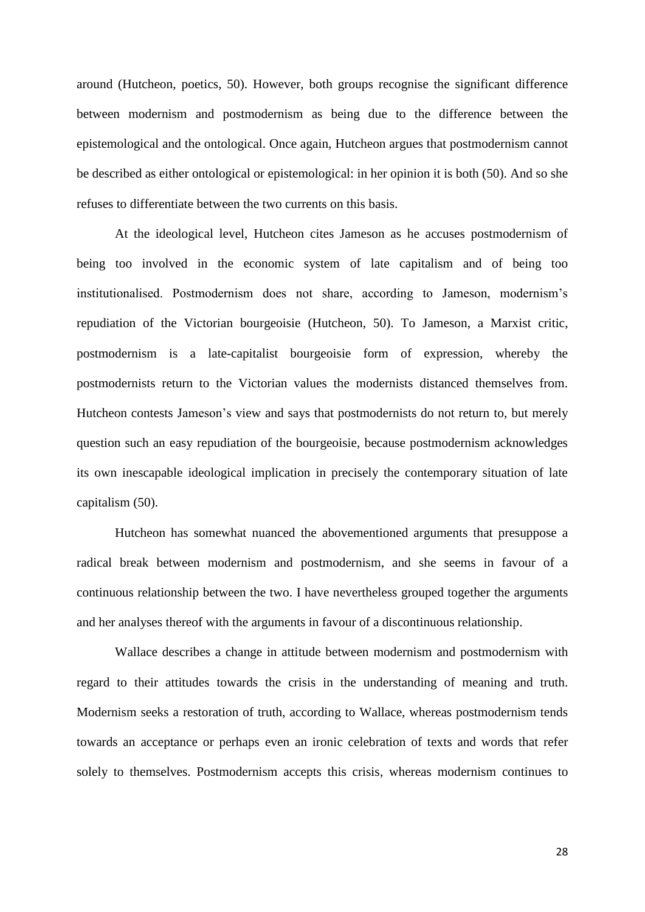around (Hutcheon, poetics, 50). However, both groups recognise the significant difference between modernism and postmodernism as being due to the difference between the epistemological and the ontological. Once again, Hutcheon argues that postmodernism cannot be described as either ontological or epistemological: in her opinion it is both (50). And so she refuses to differentiate between the two currents on this basis.

At the ideological level, Hutcheon cites Jameson as he accuses postmodernism of being too involved in the economic system of late capitalism and of being too institutionalised. Postmodernism does not share, according to Jameson, modernism"s repudiation of the Victorian bourgeoisie (Hutcheon, 50). To Jameson, a Marxist critic, postmodernism is a late-capitalist bourgeoisie form of expression, whereby the postmodernists return to the Victorian values the modernists distanced themselves from. Hutcheon contests Jameson"s view and says that postmodernists do not return to, but merely question such an easy repudiation of the bourgeoisie, because postmodernism acknowledges its own inescapable ideological implication in precisely the contemporary situation of late capitalism (50).

Hutcheon has somewhat nuanced the abovementioned arguments that presuppose a radical break between modernism and postmodernism, and she seems in favour of a continuous relationship between the two. I have nevertheless grouped together the arguments and her analyses thereof with the arguments in favour of a discontinuous relationship.

Wallace describes a change in attitude between modernism and postmodernism with regard to their attitudes towards the crisis in the understanding of meaning and truth. Modernism seeks a restoration of truth, according to Wallace, whereas postmodernism tends towards an acceptance or perhaps even an ironic celebration of texts and words that refer solely to themselves. Postmodernism accepts this crisis, whereas modernism continues to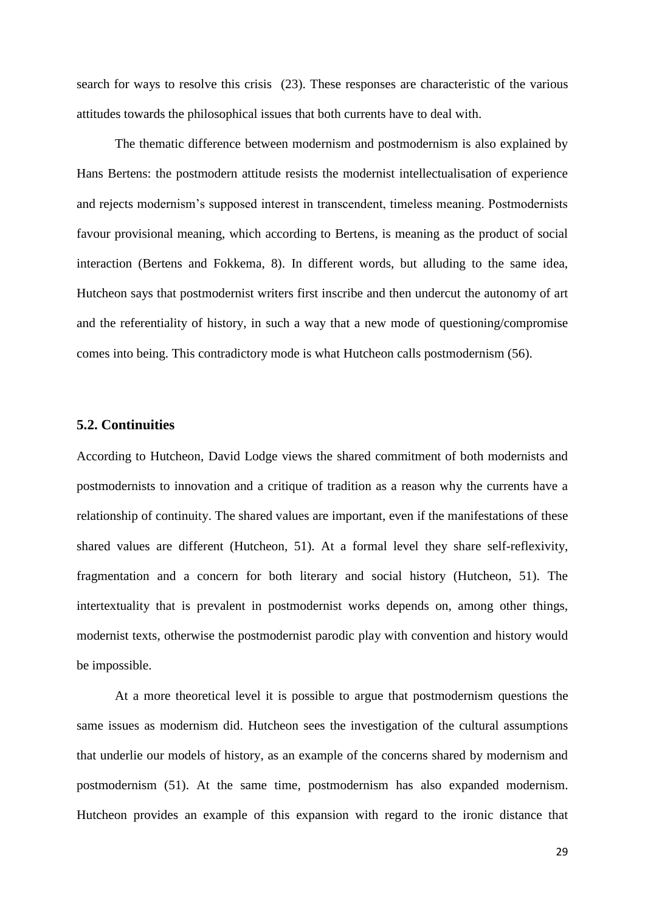search for ways to resolve this crisis (23). These responses are characteristic of the various attitudes towards the philosophical issues that both currents have to deal with.

The thematic difference between modernism and postmodernism is also explained by Hans Bertens: the postmodern attitude resists the modernist intellectualisation of experience and rejects modernism"s supposed interest in transcendent, timeless meaning. Postmodernists favour provisional meaning, which according to Bertens, is meaning as the product of social interaction (Bertens and Fokkema, 8). In different words, but alluding to the same idea, Hutcheon says that postmodernist writers first inscribe and then undercut the autonomy of art and the referentiality of history, in such a way that a new mode of questioning/compromise comes into being. This contradictory mode is what Hutcheon calls postmodernism (56).

#### <span id="page-29-0"></span>**5.2. Continuities**

According to Hutcheon, David Lodge views the shared commitment of both modernists and postmodernists to innovation and a critique of tradition as a reason why the currents have a relationship of continuity. The shared values are important, even if the manifestations of these shared values are different (Hutcheon, 51). At a formal level they share self-reflexivity, fragmentation and a concern for both literary and social history (Hutcheon, 51). The intertextuality that is prevalent in postmodernist works depends on, among other things, modernist texts, otherwise the postmodernist parodic play with convention and history would be impossible.

At a more theoretical level it is possible to argue that postmodernism questions the same issues as modernism did. Hutcheon sees the investigation of the cultural assumptions that underlie our models of history, as an example of the concerns shared by modernism and postmodernism (51). At the same time, postmodernism has also expanded modernism. Hutcheon provides an example of this expansion with regard to the ironic distance that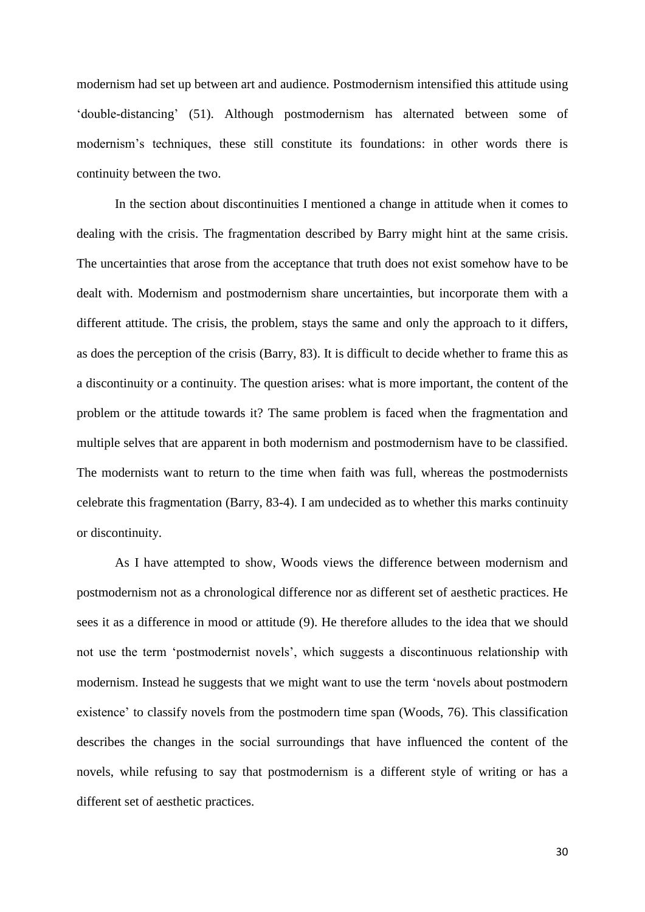modernism had set up between art and audience. Postmodernism intensified this attitude using "double-distancing" (51). Although postmodernism has alternated between some of modernism"s techniques, these still constitute its foundations: in other words there is continuity between the two.

In the section about discontinuities I mentioned a change in attitude when it comes to dealing with the crisis. The fragmentation described by Barry might hint at the same crisis. The uncertainties that arose from the acceptance that truth does not exist somehow have to be dealt with. Modernism and postmodernism share uncertainties, but incorporate them with a different attitude. The crisis, the problem, stays the same and only the approach to it differs, as does the perception of the crisis (Barry, 83). It is difficult to decide whether to frame this as a discontinuity or a continuity. The question arises: what is more important, the content of the problem or the attitude towards it? The same problem is faced when the fragmentation and multiple selves that are apparent in both modernism and postmodernism have to be classified. The modernists want to return to the time when faith was full, whereas the postmodernists celebrate this fragmentation (Barry, 83-4). I am undecided as to whether this marks continuity or discontinuity.

As I have attempted to show, Woods views the difference between modernism and postmodernism not as a chronological difference nor as different set of aesthetic practices. He sees it as a difference in mood or attitude (9). He therefore alludes to the idea that we should not use the term "postmodernist novels", which suggests a discontinuous relationship with modernism. Instead he suggests that we might want to use the term "novels about postmodern existence' to classify novels from the postmodern time span (Woods, 76). This classification describes the changes in the social surroundings that have influenced the content of the novels, while refusing to say that postmodernism is a different style of writing or has a different set of aesthetic practices.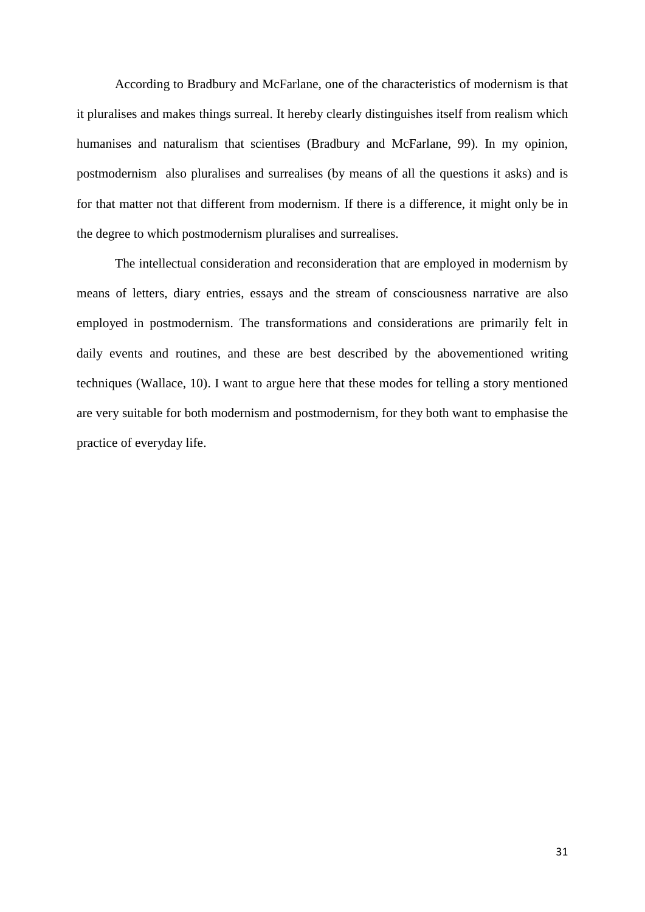According to Bradbury and McFarlane, one of the characteristics of modernism is that it pluralises and makes things surreal. It hereby clearly distinguishes itself from realism which humanises and naturalism that scientises (Bradbury and McFarlane, 99). In my opinion, postmodernism also pluralises and surrealises (by means of all the questions it asks) and is for that matter not that different from modernism. If there is a difference, it might only be in the degree to which postmodernism pluralises and surrealises.

The intellectual consideration and reconsideration that are employed in modernism by means of letters, diary entries, essays and the stream of consciousness narrative are also employed in postmodernism. The transformations and considerations are primarily felt in daily events and routines, and these are best described by the abovementioned writing techniques (Wallace, 10). I want to argue here that these modes for telling a story mentioned are very suitable for both modernism and postmodernism, for they both want to emphasise the practice of everyday life.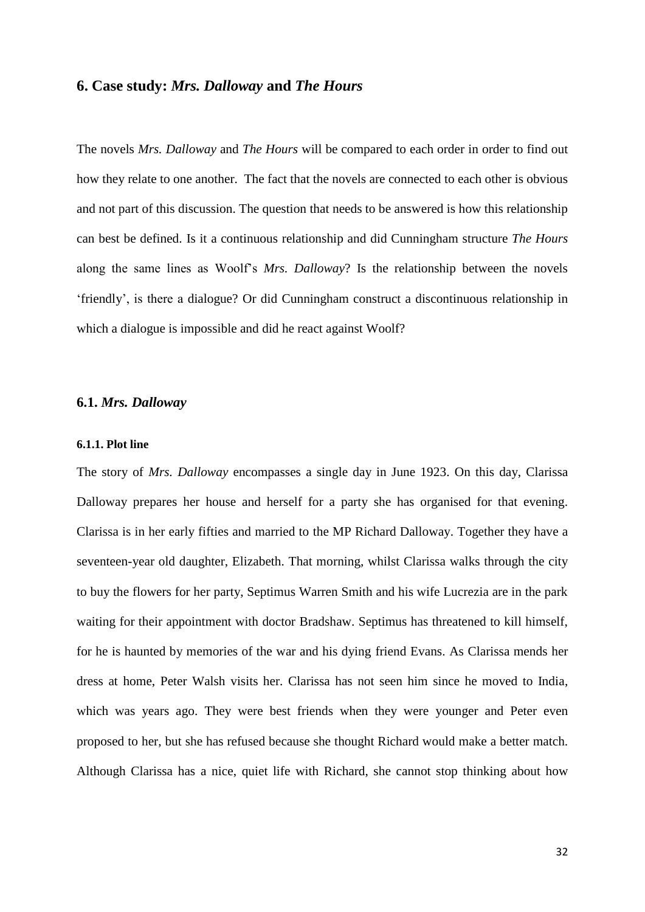#### <span id="page-32-0"></span>**6. Case study:** *Mrs. Dalloway* **and** *The Hours*

The novels *Mrs. Dalloway* and *The Hours* will be compared to each order in order to find out how they relate to one another. The fact that the novels are connected to each other is obvious and not part of this discussion. The question that needs to be answered is how this relationship can best be defined. Is it a continuous relationship and did Cunningham structure *The Hours* along the same lines as Woolf"s *Mrs. Dalloway*? Is the relationship between the novels "friendly", is there a dialogue? Or did Cunningham construct a discontinuous relationship in which a dialogue is impossible and did he react against Woolf?

#### <span id="page-32-1"></span>**6.1.** *Mrs. Dalloway*

#### <span id="page-32-2"></span>**6.1.1. Plot line**

The story of *Mrs. Dalloway* encompasses a single day in June 1923. On this day, Clarissa Dalloway prepares her house and herself for a party she has organised for that evening. Clarissa is in her early fifties and married to the MP Richard Dalloway. Together they have a seventeen-year old daughter, Elizabeth. That morning, whilst Clarissa walks through the city to buy the flowers for her party, Septimus Warren Smith and his wife Lucrezia are in the park waiting for their appointment with doctor Bradshaw. Septimus has threatened to kill himself, for he is haunted by memories of the war and his dying friend Evans. As Clarissa mends her dress at home, Peter Walsh visits her. Clarissa has not seen him since he moved to India, which was years ago. They were best friends when they were younger and Peter even proposed to her, but she has refused because she thought Richard would make a better match. Although Clarissa has a nice, quiet life with Richard, she cannot stop thinking about how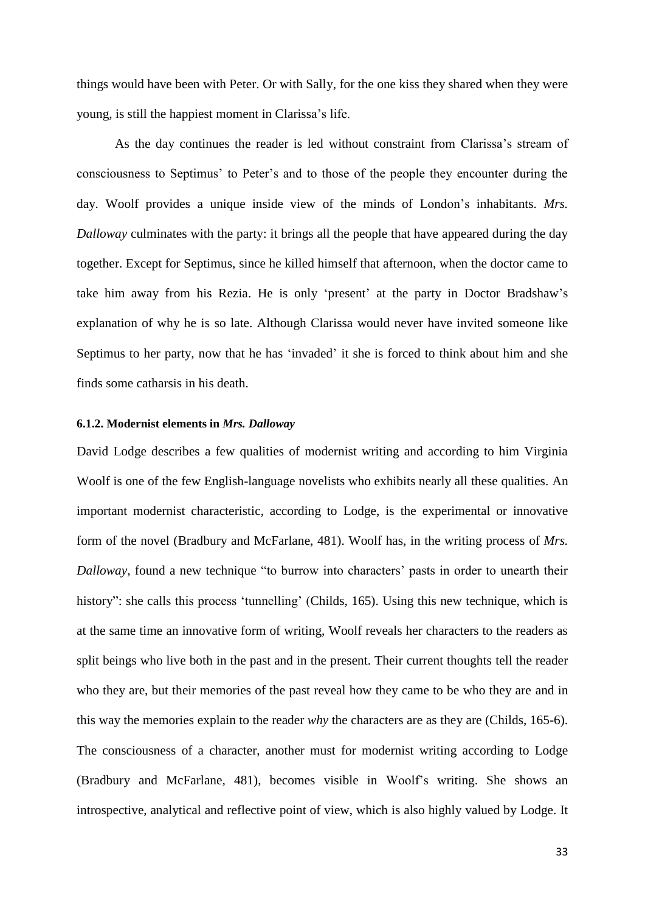things would have been with Peter. Or with Sally, for the one kiss they shared when they were young, is still the happiest moment in Clarissa"s life.

As the day continues the reader is led without constraint from Clarissa's stream of consciousness to Septimus" to Peter"s and to those of the people they encounter during the day. Woolf provides a unique inside view of the minds of London's inhabitants. Mrs. *Dalloway* culminates with the party: it brings all the people that have appeared during the day together. Except for Septimus, since he killed himself that afternoon, when the doctor came to take him away from his Rezia. He is only 'present' at the party in Doctor Bradshaw's explanation of why he is so late. Although Clarissa would never have invited someone like Septimus to her party, now that he has 'invaded' it she is forced to think about him and she finds some catharsis in his death.

#### <span id="page-33-0"></span>**6.1.2. Modernist elements in** *Mrs. Dalloway*

David Lodge describes a few qualities of modernist writing and according to him Virginia Woolf is one of the few English-language novelists who exhibits nearly all these qualities. An important modernist characteristic, according to Lodge, is the experimental or innovative form of the novel (Bradbury and McFarlane, 481). Woolf has, in the writing process of *Mrs. Dalloway*, found a new technique "to burrow into characters" pasts in order to unearth their history": she calls this process 'tunnelling' (Childs, 165). Using this new technique, which is at the same time an innovative form of writing, Woolf reveals her characters to the readers as split beings who live both in the past and in the present. Their current thoughts tell the reader who they are, but their memories of the past reveal how they came to be who they are and in this way the memories explain to the reader *why* the characters are as they are (Childs, 165-6). The consciousness of a character, another must for modernist writing according to Lodge (Bradbury and McFarlane, 481), becomes visible in Woolf"s writing. She shows an introspective, analytical and reflective point of view, which is also highly valued by Lodge. It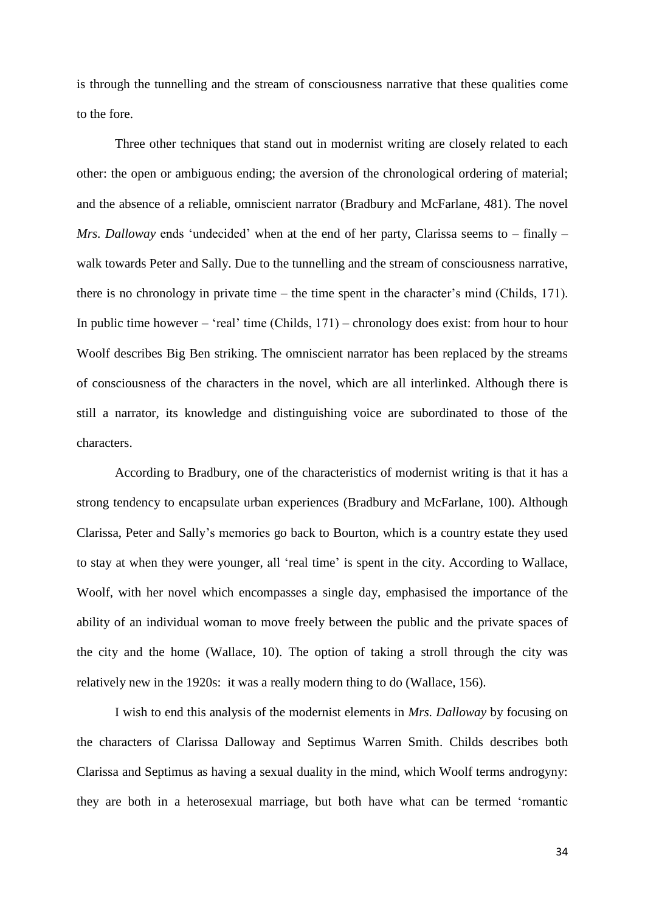is through the tunnelling and the stream of consciousness narrative that these qualities come to the fore.

Three other techniques that stand out in modernist writing are closely related to each other: the open or ambiguous ending; the aversion of the chronological ordering of material; and the absence of a reliable, omniscient narrator (Bradbury and McFarlane, 481). The novel *Mrs. Dalloway* ends 'undecided' when at the end of her party, Clarissa seems to – finally – walk towards Peter and Sally. Due to the tunnelling and the stream of consciousness narrative, there is no chronology in private time – the time spent in the character"s mind (Childs, 171). In public time however – 'real' time (Childs,  $171$ ) – chronology does exist: from hour to hour Woolf describes Big Ben striking. The omniscient narrator has been replaced by the streams of consciousness of the characters in the novel, which are all interlinked. Although there is still a narrator, its knowledge and distinguishing voice are subordinated to those of the characters.

According to Bradbury, one of the characteristics of modernist writing is that it has a strong tendency to encapsulate urban experiences (Bradbury and McFarlane, 100). Although Clarissa, Peter and Sally"s memories go back to Bourton, which is a country estate they used to stay at when they were younger, all "real time" is spent in the city. According to Wallace, Woolf, with her novel which encompasses a single day, emphasised the importance of the ability of an individual woman to move freely between the public and the private spaces of the city and the home (Wallace, 10). The option of taking a stroll through the city was relatively new in the 1920s: it was a really modern thing to do (Wallace, 156).

I wish to end this analysis of the modernist elements in *Mrs. Dalloway* by focusing on the characters of Clarissa Dalloway and Septimus Warren Smith. Childs describes both Clarissa and Septimus as having a sexual duality in the mind, which Woolf terms androgyny: they are both in a heterosexual marriage, but both have what can be termed "romantic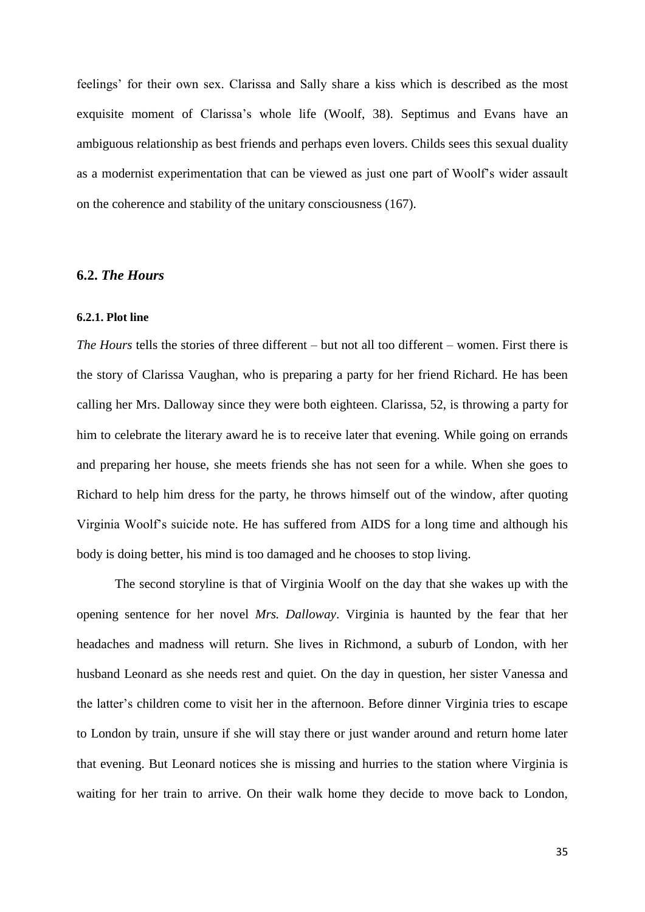feelings" for their own sex. Clarissa and Sally share a kiss which is described as the most exquisite moment of Clarissa"s whole life (Woolf, 38). Septimus and Evans have an ambiguous relationship as best friends and perhaps even lovers. Childs sees this sexual duality as a modernist experimentation that can be viewed as just one part of Woolf"s wider assault on the coherence and stability of the unitary consciousness (167).

#### <span id="page-35-0"></span>**6.2.** *The Hours*

#### <span id="page-35-1"></span>**6.2.1. Plot line**

*The Hours* tells the stories of three different – but not all too different – women. First there is the story of Clarissa Vaughan, who is preparing a party for her friend Richard. He has been calling her Mrs. Dalloway since they were both eighteen. Clarissa, 52, is throwing a party for him to celebrate the literary award he is to receive later that evening. While going on errands and preparing her house, she meets friends she has not seen for a while. When she goes to Richard to help him dress for the party, he throws himself out of the window, after quoting Virginia Woolf"s suicide note. He has suffered from AIDS for a long time and although his body is doing better, his mind is too damaged and he chooses to stop living.

The second storyline is that of Virginia Woolf on the day that she wakes up with the opening sentence for her novel *Mrs. Dalloway*. Virginia is haunted by the fear that her headaches and madness will return. She lives in Richmond, a suburb of London, with her husband Leonard as she needs rest and quiet. On the day in question, her sister Vanessa and the latter"s children come to visit her in the afternoon. Before dinner Virginia tries to escape to London by train, unsure if she will stay there or just wander around and return home later that evening. But Leonard notices she is missing and hurries to the station where Virginia is waiting for her train to arrive. On their walk home they decide to move back to London,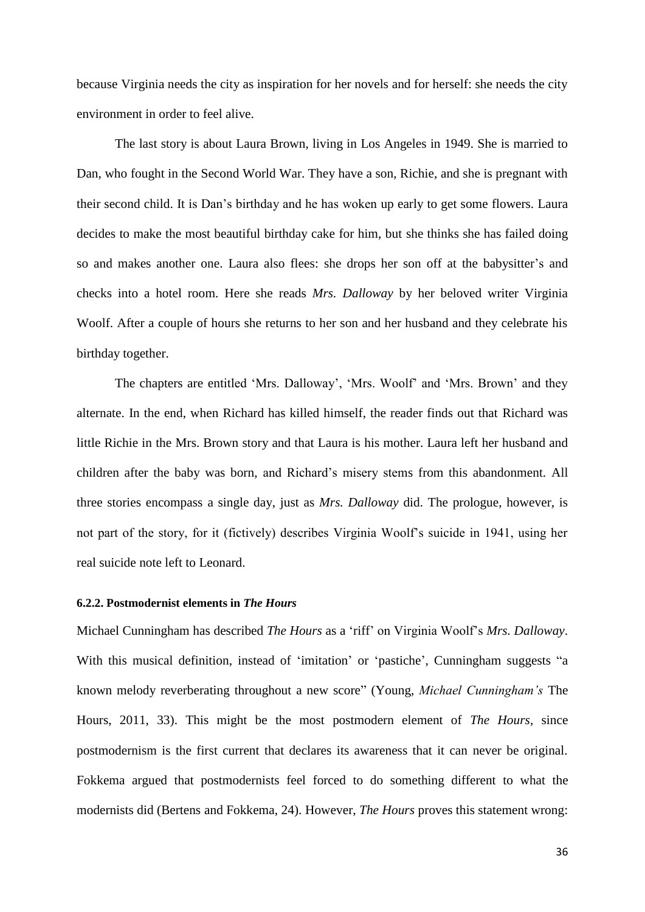because Virginia needs the city as inspiration for her novels and for herself: she needs the city environment in order to feel alive.

The last story is about Laura Brown, living in Los Angeles in 1949. She is married to Dan, who fought in the Second World War. They have a son, Richie, and she is pregnant with their second child. It is Dan"s birthday and he has woken up early to get some flowers. Laura decides to make the most beautiful birthday cake for him, but she thinks she has failed doing so and makes another one. Laura also flees: she drops her son off at the babysitter's and checks into a hotel room. Here she reads *Mrs. Dalloway* by her beloved writer Virginia Woolf. After a couple of hours she returns to her son and her husband and they celebrate his birthday together.

The chapters are entitled "Mrs. Dalloway", "Mrs. Woolf" and "Mrs. Brown" and they alternate. In the end, when Richard has killed himself, the reader finds out that Richard was little Richie in the Mrs. Brown story and that Laura is his mother. Laura left her husband and children after the baby was born, and Richard"s misery stems from this abandonment. All three stories encompass a single day, just as *Mrs. Dalloway* did. The prologue, however, is not part of the story, for it (fictively) describes Virginia Woolf"s suicide in 1941, using her real suicide note left to Leonard.

#### <span id="page-36-0"></span>**6.2.2. Postmodernist elements in** *The Hours*

Michael Cunningham has described *The Hours* as a "riff" on Virginia Woolf"s *Mrs. Dalloway*. With this musical definition, instead of 'imitation' or 'pastiche', Cunningham suggests "a known melody reverberating throughout a new score" (Young, *Michael Cunningham's* The Hours, 2011, 33). This might be the most postmodern element of *The Hours*, since postmodernism is the first current that declares its awareness that it can never be original. Fokkema argued that postmodernists feel forced to do something different to what the modernists did (Bertens and Fokkema, 24). However, *The Hours* proves this statement wrong: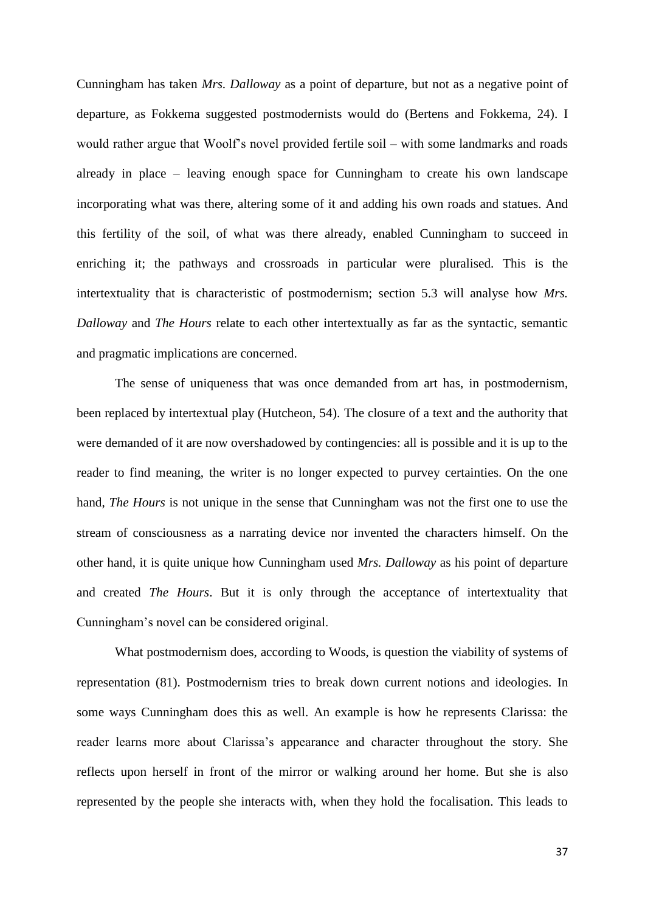Cunningham has taken *Mrs. Dalloway* as a point of departure, but not as a negative point of departure, as Fokkema suggested postmodernists would do (Bertens and Fokkema, 24). I would rather argue that Woolf"s novel provided fertile soil – with some landmarks and roads already in place – leaving enough space for Cunningham to create his own landscape incorporating what was there, altering some of it and adding his own roads and statues. And this fertility of the soil, of what was there already, enabled Cunningham to succeed in enriching it; the pathways and crossroads in particular were pluralised. This is the intertextuality that is characteristic of postmodernism; section 5.3 will analyse how *Mrs. Dalloway* and *The Hours* relate to each other intertextually as far as the syntactic, semantic and pragmatic implications are concerned.

The sense of uniqueness that was once demanded from art has, in postmodernism, been replaced by intertextual play (Hutcheon, 54). The closure of a text and the authority that were demanded of it are now overshadowed by contingencies: all is possible and it is up to the reader to find meaning, the writer is no longer expected to purvey certainties. On the one hand, *The Hours* is not unique in the sense that Cunningham was not the first one to use the stream of consciousness as a narrating device nor invented the characters himself. On the other hand, it is quite unique how Cunningham used *Mrs. Dalloway* as his point of departure and created *The Hours*. But it is only through the acceptance of intertextuality that Cunningham"s novel can be considered original.

What postmodernism does, according to Woods, is question the viability of systems of representation (81). Postmodernism tries to break down current notions and ideologies. In some ways Cunningham does this as well. An example is how he represents Clarissa: the reader learns more about Clarissa"s appearance and character throughout the story. She reflects upon herself in front of the mirror or walking around her home. But she is also represented by the people she interacts with, when they hold the focalisation. This leads to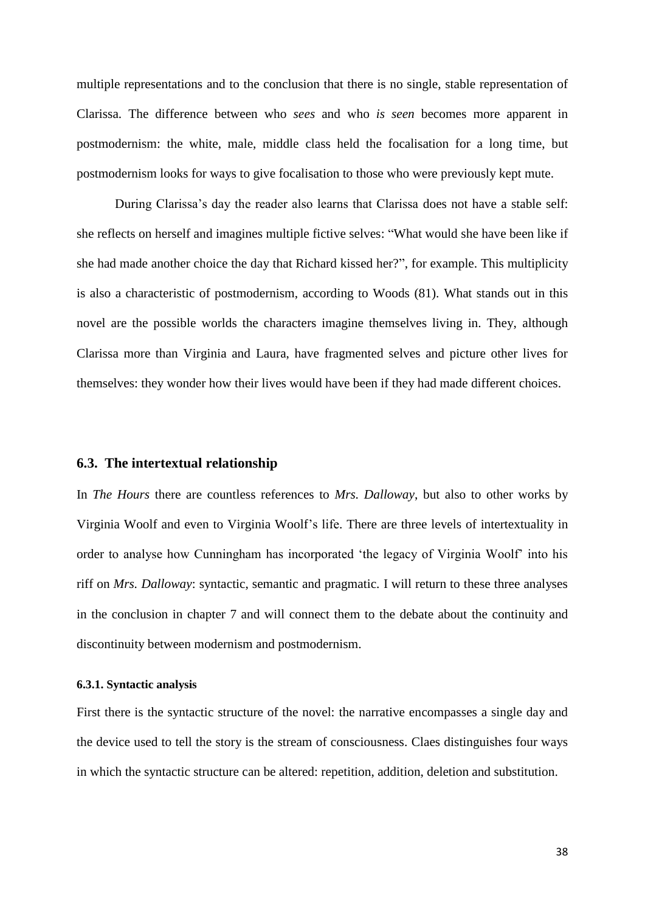multiple representations and to the conclusion that there is no single, stable representation of Clarissa. The difference between who *sees* and who *is seen* becomes more apparent in postmodernism: the white, male, middle class held the focalisation for a long time, but postmodernism looks for ways to give focalisation to those who were previously kept mute.

During Clarissa"s day the reader also learns that Clarissa does not have a stable self: she reflects on herself and imagines multiple fictive selves: "What would she have been like if she had made another choice the day that Richard kissed her?", for example. This multiplicity is also a characteristic of postmodernism, according to Woods (81). What stands out in this novel are the possible worlds the characters imagine themselves living in. They, although Clarissa more than Virginia and Laura, have fragmented selves and picture other lives for themselves: they wonder how their lives would have been if they had made different choices.

#### <span id="page-38-0"></span>**6.3. The intertextual relationship**

In *The Hours* there are countless references to *Mrs. Dalloway*, but also to other works by Virginia Woolf and even to Virginia Woolf"s life. There are three levels of intertextuality in order to analyse how Cunningham has incorporated "the legacy of Virginia Woolf" into his riff on *Mrs. Dalloway*: syntactic, semantic and pragmatic. I will return to these three analyses in the conclusion in chapter 7 and will connect them to the debate about the continuity and discontinuity between modernism and postmodernism.

#### <span id="page-38-1"></span>**6.3.1. Syntactic analysis**

First there is the syntactic structure of the novel: the narrative encompasses a single day and the device used to tell the story is the stream of consciousness. Claes distinguishes four ways in which the syntactic structure can be altered: repetition, addition, deletion and substitution.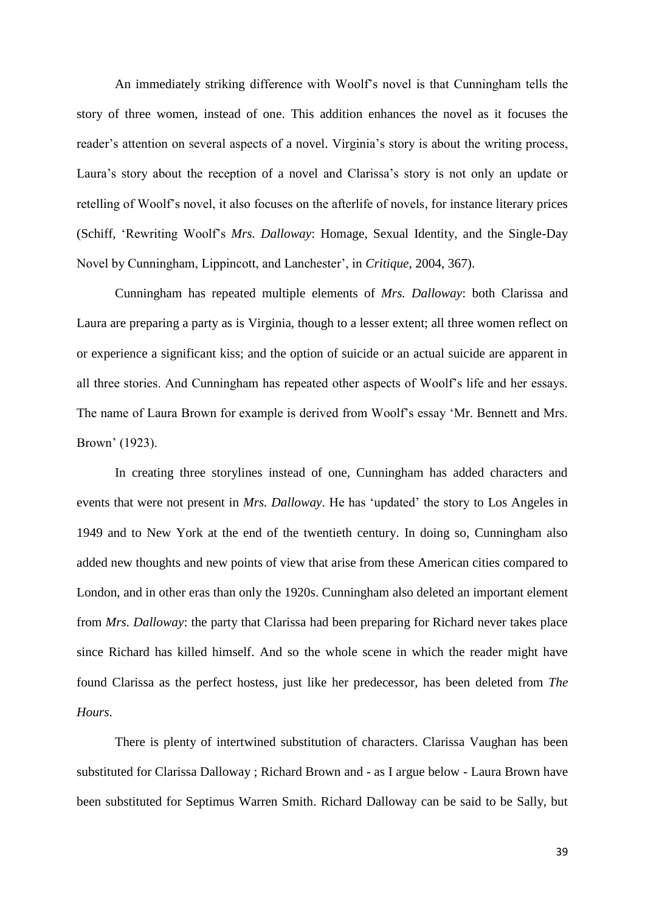An immediately striking difference with Woolf"s novel is that Cunningham tells the story of three women, instead of one. This addition enhances the novel as it focuses the reader's attention on several aspects of a novel. Virginia's story is about the writing process, Laura"s story about the reception of a novel and Clarissa"s story is not only an update or retelling of Woolf"s novel, it also focuses on the afterlife of novels, for instance literary prices (Schiff, "Rewriting Woolf"s *Mrs. Dalloway*: Homage, Sexual Identity, and the Single-Day Novel by Cunningham, Lippincott, and Lanchester", in *Critique*, 2004, 367).

Cunningham has repeated multiple elements of *Mrs. Dalloway*: both Clarissa and Laura are preparing a party as is Virginia, though to a lesser extent; all three women reflect on or experience a significant kiss; and the option of suicide or an actual suicide are apparent in all three stories. And Cunningham has repeated other aspects of Woolf"s life and her essays. The name of Laura Brown for example is derived from Woolf"s essay "Mr. Bennett and Mrs. Brown" (1923).

In creating three storylines instead of one, Cunningham has added characters and events that were not present in *Mrs. Dalloway*. He has "updated" the story to Los Angeles in 1949 and to New York at the end of the twentieth century. In doing so, Cunningham also added new thoughts and new points of view that arise from these American cities compared to London, and in other eras than only the 1920s. Cunningham also deleted an important element from *Mrs. Dalloway*: the party that Clarissa had been preparing for Richard never takes place since Richard has killed himself. And so the whole scene in which the reader might have found Clarissa as the perfect hostess, just like her predecessor, has been deleted from *The Hours*.

There is plenty of intertwined substitution of characters. Clarissa Vaughan has been substituted for Clarissa Dalloway ; Richard Brown and - as I argue below - Laura Brown have been substituted for Septimus Warren Smith. Richard Dalloway can be said to be Sally, but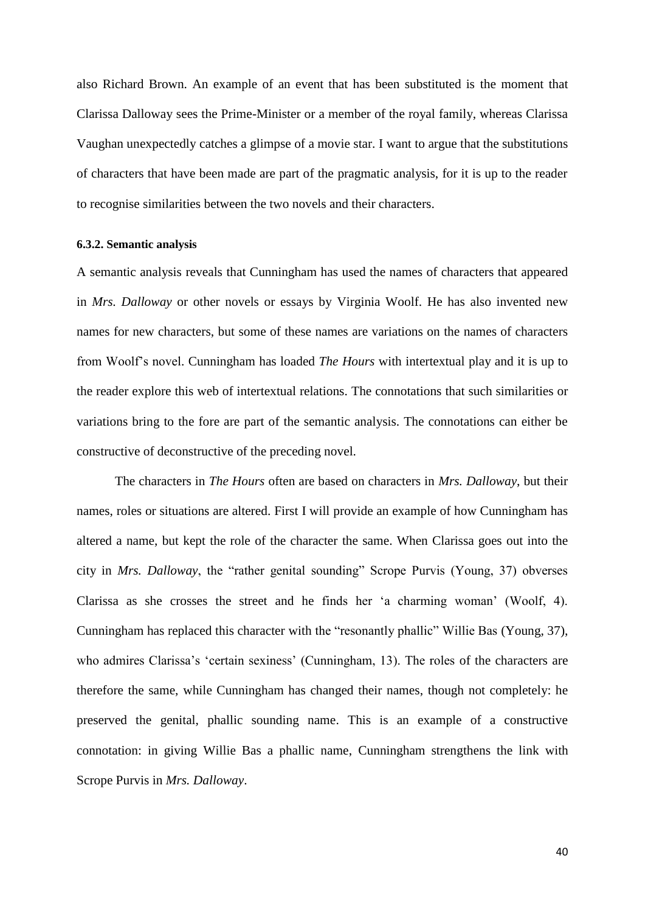also Richard Brown. An example of an event that has been substituted is the moment that Clarissa Dalloway sees the Prime-Minister or a member of the royal family, whereas Clarissa Vaughan unexpectedly catches a glimpse of a movie star. I want to argue that the substitutions of characters that have been made are part of the pragmatic analysis, for it is up to the reader to recognise similarities between the two novels and their characters.

#### <span id="page-40-0"></span>**6.3.2. Semantic analysis**

A semantic analysis reveals that Cunningham has used the names of characters that appeared in *Mrs. Dalloway* or other novels or essays by Virginia Woolf. He has also invented new names for new characters, but some of these names are variations on the names of characters from Woolf"s novel. Cunningham has loaded *The Hours* with intertextual play and it is up to the reader explore this web of intertextual relations. The connotations that such similarities or variations bring to the fore are part of the semantic analysis. The connotations can either be constructive of deconstructive of the preceding novel.

The characters in *The Hours* often are based on characters in *Mrs. Dalloway*, but their names, roles or situations are altered. First I will provide an example of how Cunningham has altered a name, but kept the role of the character the same. When Clarissa goes out into the city in *Mrs. Dalloway*, the "rather genital sounding" Scrope Purvis (Young, 37) obverses Clarissa as she crosses the street and he finds her "a charming woman" (Woolf, 4). Cunningham has replaced this character with the "resonantly phallic" Willie Bas (Young, 37), who admires Clarissa's 'certain sexiness' (Cunningham, 13). The roles of the characters are therefore the same, while Cunningham has changed their names, though not completely: he preserved the genital, phallic sounding name. This is an example of a constructive connotation: in giving Willie Bas a phallic name, Cunningham strengthens the link with Scrope Purvis in *Mrs. Dalloway*.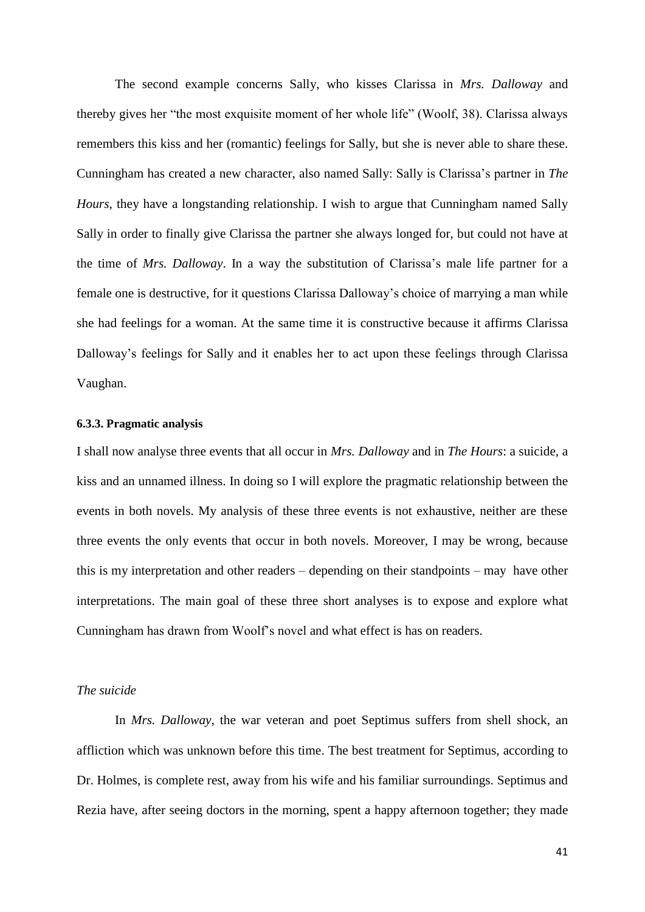The second example concerns Sally, who kisses Clarissa in *Mrs. Dalloway* and thereby gives her "the most exquisite moment of her whole life" (Woolf, 38). Clarissa always remembers this kiss and her (romantic) feelings for Sally, but she is never able to share these. Cunningham has created a new character, also named Sally: Sally is Clarissa"s partner in *The Hours*, they have a longstanding relationship. I wish to argue that Cunningham named Sally Sally in order to finally give Clarissa the partner she always longed for, but could not have at the time of *Mrs. Dalloway*. In a way the substitution of Clarissa"s male life partner for a female one is destructive, for it questions Clarissa Dalloway"s choice of marrying a man while she had feelings for a woman. At the same time it is constructive because it affirms Clarissa Dalloway"s feelings for Sally and it enables her to act upon these feelings through Clarissa Vaughan.

#### <span id="page-41-0"></span>**6.3.3. Pragmatic analysis**

I shall now analyse three events that all occur in *Mrs. Dalloway* and in *The Hours*: a suicide, a kiss and an unnamed illness. In doing so I will explore the pragmatic relationship between the events in both novels. My analysis of these three events is not exhaustive, neither are these three events the only events that occur in both novels. Moreover, I may be wrong, because this is my interpretation and other readers – depending on their standpoints – may have other interpretations. The main goal of these three short analyses is to expose and explore what Cunningham has drawn from Woolf"s novel and what effect is has on readers.

#### *The suicide*

In *Mrs. Dalloway,* the war veteran and poet Septimus suffers from shell shock, an affliction which was unknown before this time. The best treatment for Septimus, according to Dr. Holmes, is complete rest, away from his wife and his familiar surroundings. Septimus and Rezia have, after seeing doctors in the morning, spent a happy afternoon together; they made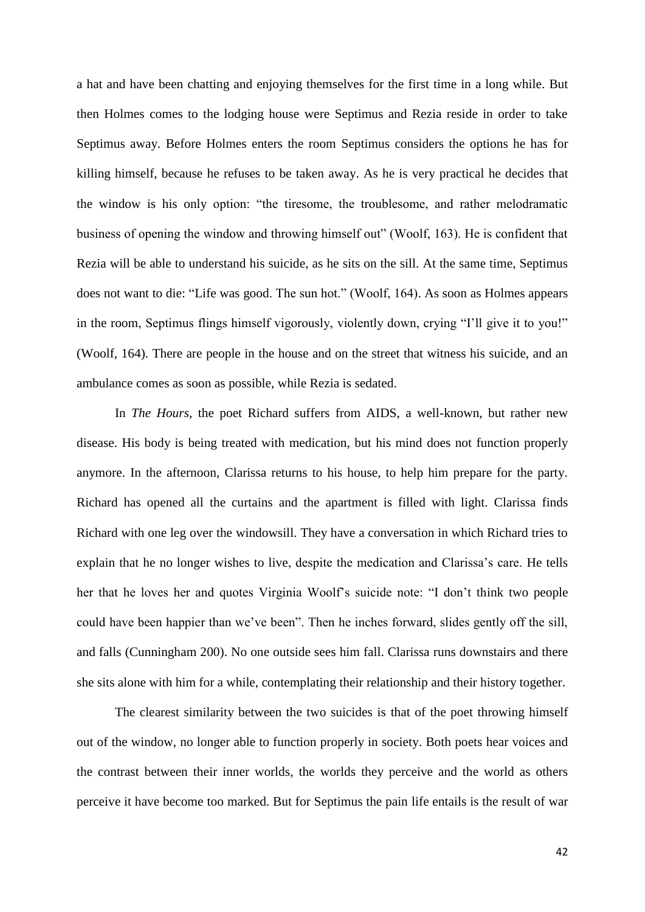a hat and have been chatting and enjoying themselves for the first time in a long while. But then Holmes comes to the lodging house were Septimus and Rezia reside in order to take Septimus away. Before Holmes enters the room Septimus considers the options he has for killing himself, because he refuses to be taken away. As he is very practical he decides that the window is his only option: "the tiresome, the troublesome, and rather melodramatic business of opening the window and throwing himself out" (Woolf, 163). He is confident that Rezia will be able to understand his suicide, as he sits on the sill. At the same time, Septimus does not want to die: "Life was good. The sun hot." (Woolf, 164). As soon as Holmes appears in the room, Septimus flings himself vigorously, violently down, crying "I"ll give it to you!" (Woolf, 164). There are people in the house and on the street that witness his suicide, and an ambulance comes as soon as possible, while Rezia is sedated.

In *The Hours,* the poet Richard suffers from AIDS, a well-known, but rather new disease. His body is being treated with medication, but his mind does not function properly anymore. In the afternoon, Clarissa returns to his house, to help him prepare for the party. Richard has opened all the curtains and the apartment is filled with light. Clarissa finds Richard with one leg over the windowsill. They have a conversation in which Richard tries to explain that he no longer wishes to live, despite the medication and Clarissa's care. He tells her that he loves her and quotes Virginia Woolf"s suicide note: "I don"t think two people could have been happier than we"ve been". Then he inches forward, slides gently off the sill, and falls (Cunningham 200). No one outside sees him fall. Clarissa runs downstairs and there she sits alone with him for a while, contemplating their relationship and their history together.

The clearest similarity between the two suicides is that of the poet throwing himself out of the window, no longer able to function properly in society. Both poets hear voices and the contrast between their inner worlds, the worlds they perceive and the world as others perceive it have become too marked. But for Septimus the pain life entails is the result of war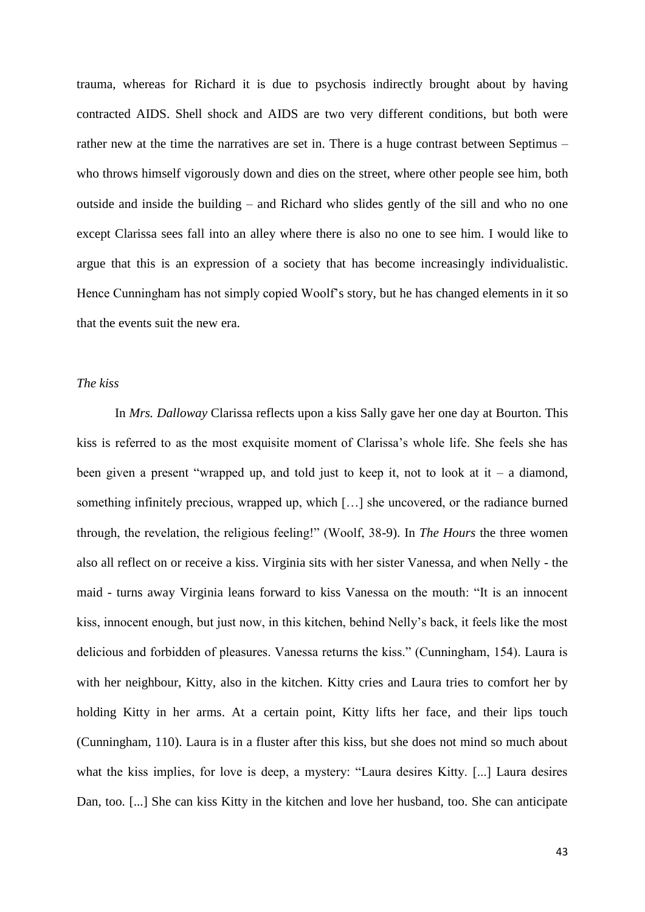trauma, whereas for Richard it is due to psychosis indirectly brought about by having contracted AIDS. Shell shock and AIDS are two very different conditions, but both were rather new at the time the narratives are set in. There is a huge contrast between Septimus – who throws himself vigorously down and dies on the street, where other people see him, both outside and inside the building – and Richard who slides gently of the sill and who no one except Clarissa sees fall into an alley where there is also no one to see him. I would like to argue that this is an expression of a society that has become increasingly individualistic. Hence Cunningham has not simply copied Woolf"s story, but he has changed elements in it so that the events suit the new era.

#### *The kiss*

In *Mrs. Dalloway* Clarissa reflects upon a kiss Sally gave her one day at Bourton. This kiss is referred to as the most exquisite moment of Clarissa"s whole life. She feels she has been given a present "wrapped up, and told just to keep it, not to look at it – a diamond, something infinitely precious, wrapped up, which […] she uncovered, or the radiance burned through, the revelation, the religious feeling!" (Woolf, 38-9). In *The Hours* the three women also all reflect on or receive a kiss. Virginia sits with her sister Vanessa, and when Nelly - the maid - turns away Virginia leans forward to kiss Vanessa on the mouth: "It is an innocent kiss, innocent enough, but just now, in this kitchen, behind Nelly"s back, it feels like the most delicious and forbidden of pleasures. Vanessa returns the kiss." (Cunningham, 154). Laura is with her neighbour, Kitty, also in the kitchen. Kitty cries and Laura tries to comfort her by holding Kitty in her arms. At a certain point, Kitty lifts her face, and their lips touch (Cunningham, 110). Laura is in a fluster after this kiss, but she does not mind so much about what the kiss implies, for love is deep, a mystery: "Laura desires Kitty. [...] Laura desires Dan, too. [...] She can kiss Kitty in the kitchen and love her husband, too. She can anticipate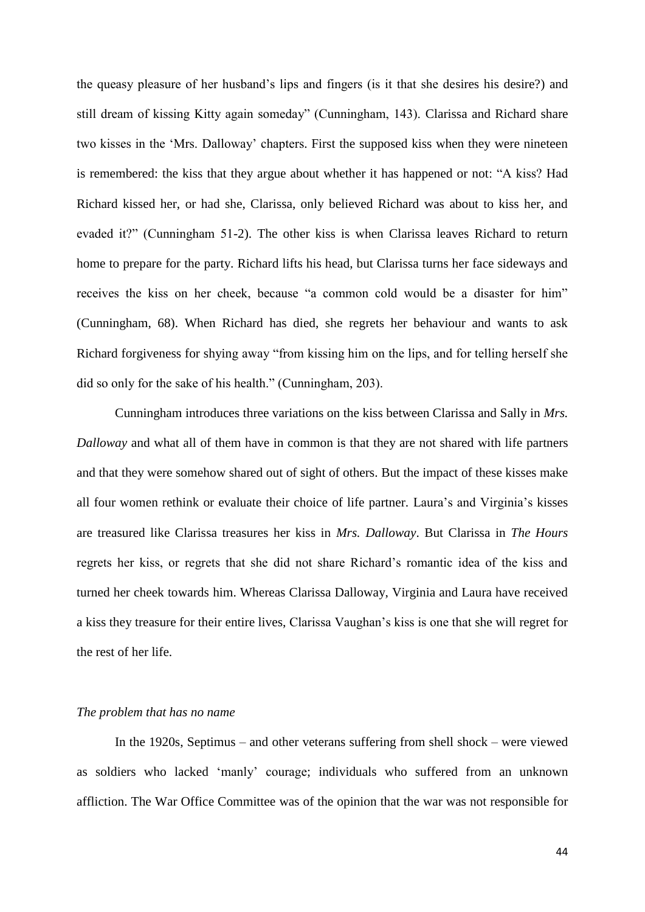the queasy pleasure of her husband"s lips and fingers (is it that she desires his desire?) and still dream of kissing Kitty again someday" (Cunningham, 143). Clarissa and Richard share two kisses in the "Mrs. Dalloway" chapters. First the supposed kiss when they were nineteen is remembered: the kiss that they argue about whether it has happened or not: "A kiss? Had Richard kissed her, or had she, Clarissa, only believed Richard was about to kiss her, and evaded it?" (Cunningham 51-2). The other kiss is when Clarissa leaves Richard to return home to prepare for the party. Richard lifts his head, but Clarissa turns her face sideways and receives the kiss on her cheek, because "a common cold would be a disaster for him" (Cunningham, 68). When Richard has died, she regrets her behaviour and wants to ask Richard forgiveness for shying away "from kissing him on the lips, and for telling herself she did so only for the sake of his health." (Cunningham, 203).

Cunningham introduces three variations on the kiss between Clarissa and Sally in *Mrs. Dalloway* and what all of them have in common is that they are not shared with life partners and that they were somehow shared out of sight of others. But the impact of these kisses make all four women rethink or evaluate their choice of life partner. Laura"s and Virginia"s kisses are treasured like Clarissa treasures her kiss in *Mrs. Dalloway*. But Clarissa in *The Hours* regrets her kiss, or regrets that she did not share Richard"s romantic idea of the kiss and turned her cheek towards him. Whereas Clarissa Dalloway, Virginia and Laura have received a kiss they treasure for their entire lives, Clarissa Vaughan"s kiss is one that she will regret for the rest of her life.

#### *The problem that has no name*

In the 1920s, Septimus – and other veterans suffering from shell shock – were viewed as soldiers who lacked "manly" courage; individuals who suffered from an unknown affliction. The War Office Committee was of the opinion that the war was not responsible for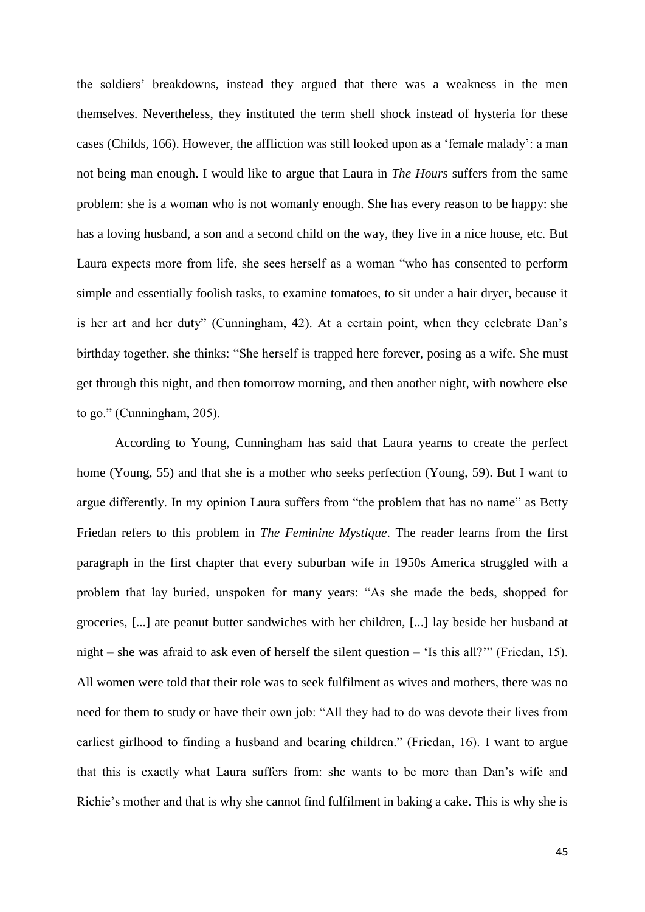the soldiers" breakdowns, instead they argued that there was a weakness in the men themselves. Nevertheless, they instituted the term shell shock instead of hysteria for these cases (Childs, 166). However, the affliction was still looked upon as a "female malady": a man not being man enough. I would like to argue that Laura in *The Hours* suffers from the same problem: she is a woman who is not womanly enough. She has every reason to be happy: she has a loving husband, a son and a second child on the way, they live in a nice house, etc. But Laura expects more from life, she sees herself as a woman "who has consented to perform simple and essentially foolish tasks, to examine tomatoes, to sit under a hair dryer, because it is her art and her duty" (Cunningham, 42). At a certain point, when they celebrate Dan"s birthday together, she thinks: "She herself is trapped here forever, posing as a wife. She must get through this night, and then tomorrow morning, and then another night, with nowhere else to go." (Cunningham, 205).

According to Young, Cunningham has said that Laura yearns to create the perfect home (Young, 55) and that she is a mother who seeks perfection (Young, 59). But I want to argue differently. In my opinion Laura suffers from "the problem that has no name" as Betty Friedan refers to this problem in *The Feminine Mystique*. The reader learns from the first paragraph in the first chapter that every suburban wife in 1950s America struggled with a problem that lay buried, unspoken for many years: "As she made the beds, shopped for groceries, [...] ate peanut butter sandwiches with her children, [...] lay beside her husband at night – she was afraid to ask even of herself the silent question – "Is this all?"" (Friedan, 15). All women were told that their role was to seek fulfilment as wives and mothers, there was no need for them to study or have their own job: "All they had to do was devote their lives from earliest girlhood to finding a husband and bearing children." (Friedan, 16). I want to argue that this is exactly what Laura suffers from: she wants to be more than Dan"s wife and Richie"s mother and that is why she cannot find fulfilment in baking a cake. This is why she is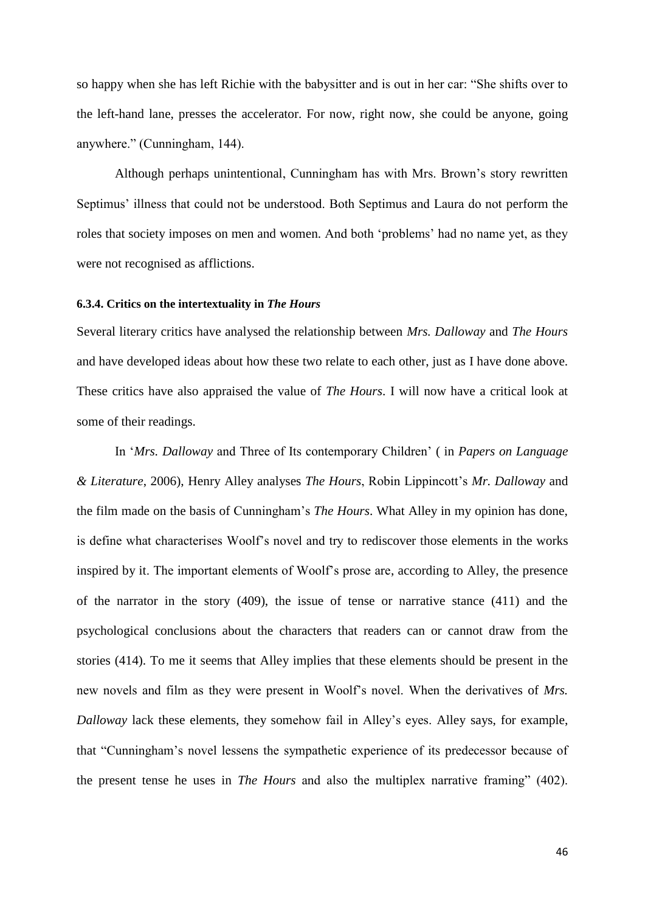so happy when she has left Richie with the babysitter and is out in her car: "She shifts over to the left-hand lane, presses the accelerator. For now, right now, she could be anyone, going anywhere." (Cunningham, 144).

Although perhaps unintentional, Cunningham has with Mrs. Brown"s story rewritten Septimus" illness that could not be understood. Both Septimus and Laura do not perform the roles that society imposes on men and women. And both "problems" had no name yet, as they were not recognised as afflictions.

#### <span id="page-46-0"></span>**6.3.4. Critics on the intertextuality in** *The Hours*

Several literary critics have analysed the relationship between *Mrs. Dalloway* and *The Hours* and have developed ideas about how these two relate to each other, just as I have done above. These critics have also appraised the value of *The Hours*. I will now have a critical look at some of their readings.

In "*Mrs. Dalloway* and Three of Its contemporary Children" ( in *Papers on Language & Literature*, 2006), Henry Alley analyses *The Hours*, Robin Lippincott"s *Mr. Dalloway* and the film made on the basis of Cunningham"s *The Hours*. What Alley in my opinion has done, is define what characterises Woolf"s novel and try to rediscover those elements in the works inspired by it. The important elements of Woolf"s prose are, according to Alley, the presence of the narrator in the story (409), the issue of tense or narrative stance (411) and the psychological conclusions about the characters that readers can or cannot draw from the stories (414). To me it seems that Alley implies that these elements should be present in the new novels and film as they were present in Woolf"s novel. When the derivatives of *Mrs. Dalloway* lack these elements, they somehow fail in Alley"s eyes. Alley says, for example, that "Cunningham"s novel lessens the sympathetic experience of its predecessor because of the present tense he uses in *The Hours* and also the multiplex narrative framing" (402).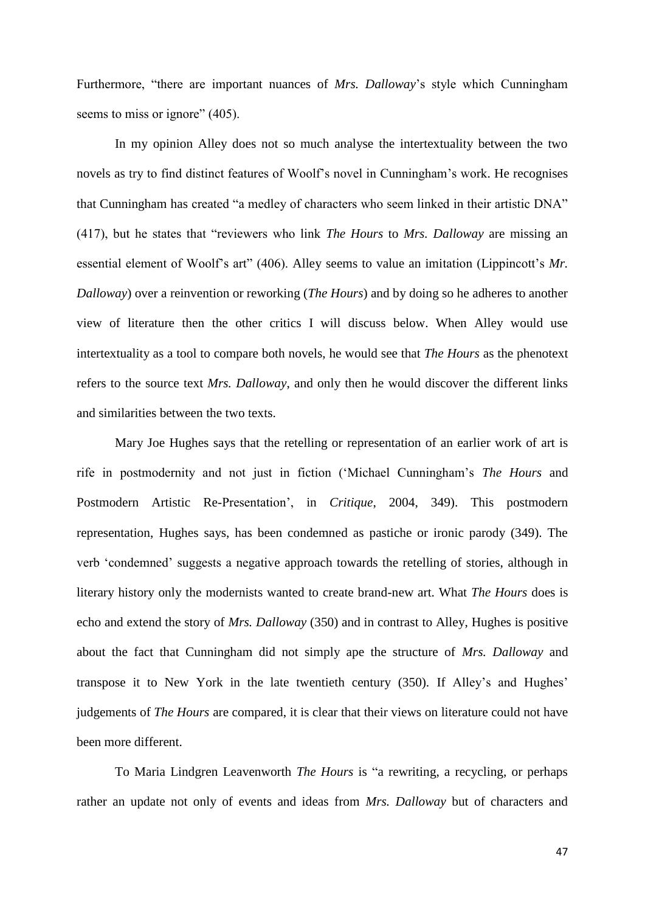Furthermore, "there are important nuances of *Mrs. Dalloway*'s style which Cunningham seems to miss or ignore" (405).

In my opinion Alley does not so much analyse the intertextuality between the two novels as try to find distinct features of Woolf"s novel in Cunningham"s work. He recognises that Cunningham has created "a medley of characters who seem linked in their artistic DNA" (417), but he states that "reviewers who link *The Hours* to *Mrs. Dalloway* are missing an essential element of Woolf's art" (406). Alley seems to value an imitation (Lippincott's Mr. *Dalloway*) over a reinvention or reworking (*The Hours*) and by doing so he adheres to another view of literature then the other critics I will discuss below. When Alley would use intertextuality as a tool to compare both novels, he would see that *The Hours* as the phenotext refers to the source text *Mrs. Dalloway*, and only then he would discover the different links and similarities between the two texts.

Mary Joe Hughes says that the retelling or representation of an earlier work of art is rife in postmodernity and not just in fiction ("Michael Cunningham"s *The Hours* and Postmodern Artistic Re-Presentation", in *Critique*, 2004, 349). This postmodern representation, Hughes says, has been condemned as pastiche or ironic parody (349). The verb "condemned" suggests a negative approach towards the retelling of stories, although in literary history only the modernists wanted to create brand-new art. What *The Hours* does is echo and extend the story of *Mrs. Dalloway* (350) and in contrast to Alley, Hughes is positive about the fact that Cunningham did not simply ape the structure of *Mrs. Dalloway* and transpose it to New York in the late twentieth century (350). If Alley"s and Hughes" judgements of *The Hours* are compared, it is clear that their views on literature could not have been more different.

To Maria Lindgren Leavenworth *The Hours* is "a rewriting, a recycling, or perhaps rather an update not only of events and ideas from *Mrs. Dalloway* but of characters and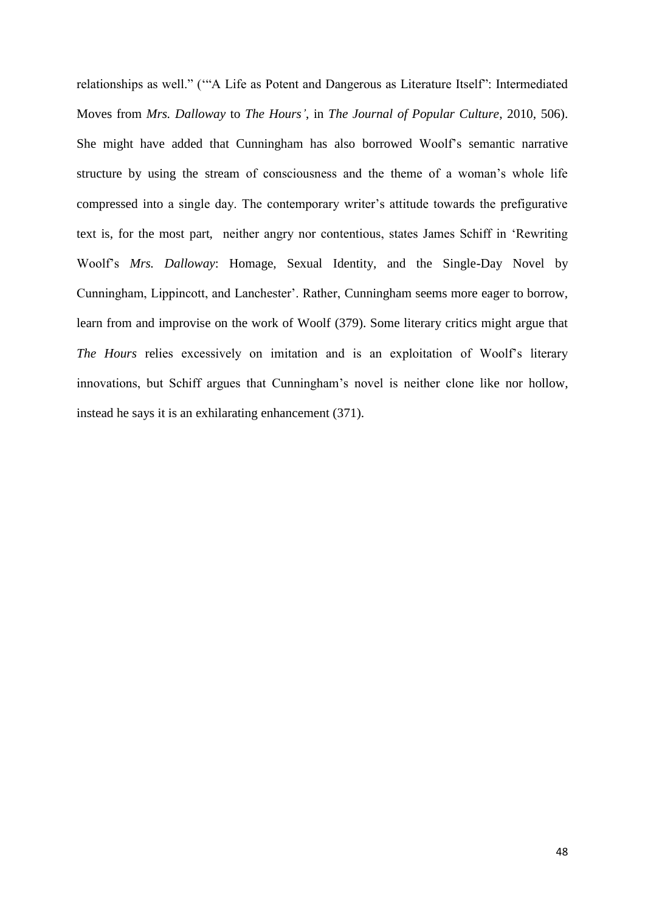relationships as well." (""A Life as Potent and Dangerous as Literature Itself": Intermediated Moves from *Mrs. Dalloway* to *The Hours'*, in *The Journal of Popular Culture*, 2010, 506). She might have added that Cunningham has also borrowed Woolf"s semantic narrative structure by using the stream of consciousness and the theme of a woman"s whole life compressed into a single day. The contemporary writer's attitude towards the prefigurative text is, for the most part, neither angry nor contentious, states James Schiff in "Rewriting Woolf"s *Mrs. Dalloway*: Homage, Sexual Identity, and the Single-Day Novel by Cunningham, Lippincott, and Lanchester'. Rather, Cunningham seems more eager to borrow, learn from and improvise on the work of Woolf (379). Some literary critics might argue that *The Hours* relies excessively on imitation and is an exploitation of Woolf"s literary innovations, but Schiff argues that Cunningham"s novel is neither clone like nor hollow, instead he says it is an exhilarating enhancement (371).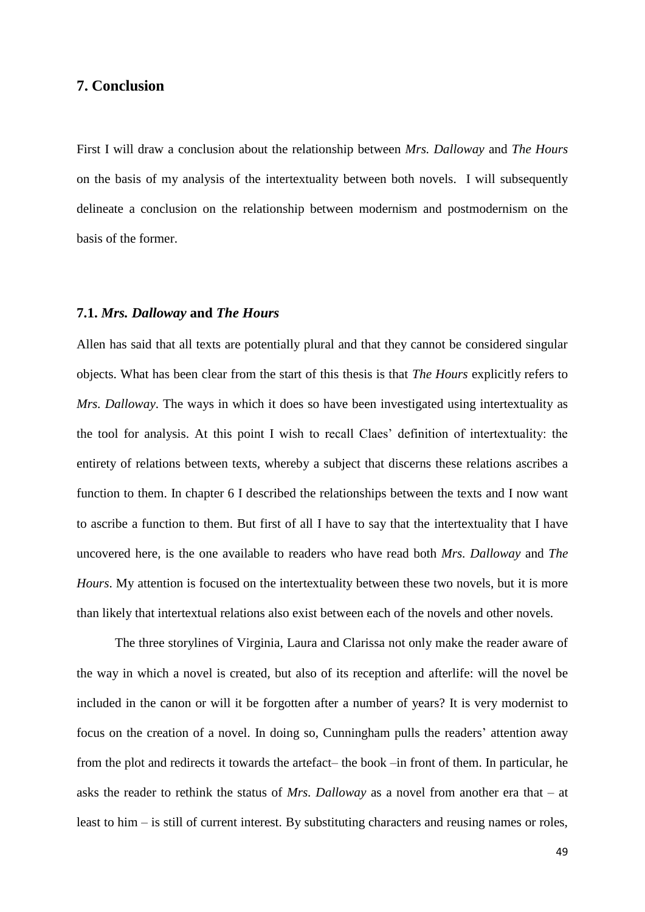## <span id="page-49-0"></span>**7. Conclusion**

First I will draw a conclusion about the relationship between *Mrs. Dalloway* and *The Hours* on the basis of my analysis of the intertextuality between both novels. I will subsequently delineate a conclusion on the relationship between modernism and postmodernism on the basis of the former.

#### <span id="page-49-1"></span>**7.1.** *Mrs. Dalloway* **and** *The Hours*

Allen has said that all texts are potentially plural and that they cannot be considered singular objects. What has been clear from the start of this thesis is that *The Hours* explicitly refers to *Mrs. Dalloway*. The ways in which it does so have been investigated using intertextuality as the tool for analysis. At this point I wish to recall Claes" definition of intertextuality: the entirety of relations between texts, whereby a subject that discerns these relations ascribes a function to them. In chapter 6 I described the relationships between the texts and I now want to ascribe a function to them. But first of all I have to say that the intertextuality that I have uncovered here, is the one available to readers who have read both *Mrs. Dalloway* and *The Hours*. My attention is focused on the intertextuality between these two novels, but it is more than likely that intertextual relations also exist between each of the novels and other novels.

The three storylines of Virginia, Laura and Clarissa not only make the reader aware of the way in which a novel is created, but also of its reception and afterlife: will the novel be included in the canon or will it be forgotten after a number of years? It is very modernist to focus on the creation of a novel. In doing so, Cunningham pulls the readers' attention away from the plot and redirects it towards the artefact– the book –in front of them. In particular, he asks the reader to rethink the status of *Mrs. Dalloway* as a novel from another era that – at least to him – is still of current interest. By substituting characters and reusing names or roles,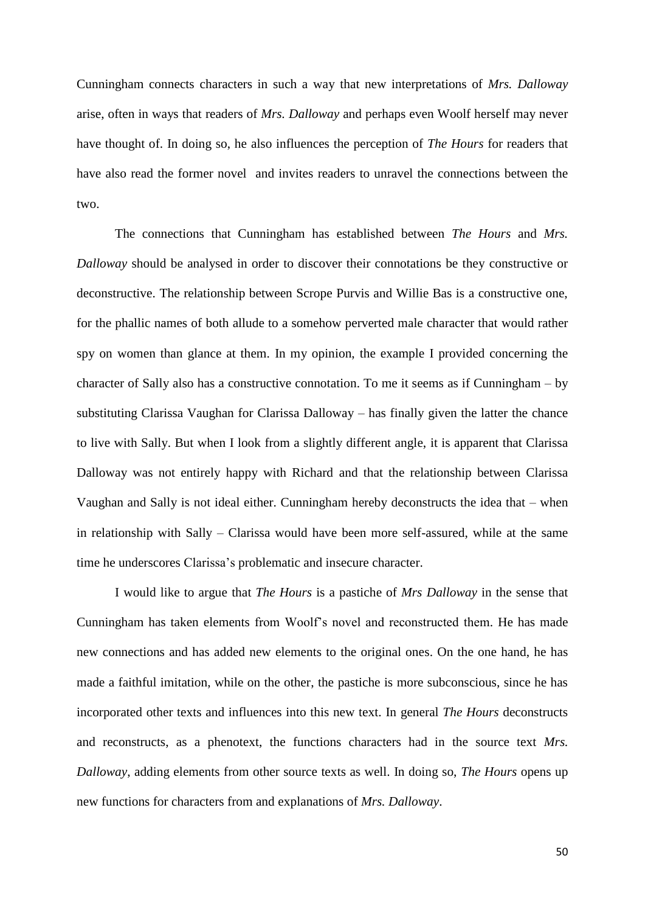Cunningham connects characters in such a way that new interpretations of *Mrs. Dalloway* arise, often in ways that readers of *Mrs. Dalloway* and perhaps even Woolf herself may never have thought of. In doing so, he also influences the perception of *The Hours* for readers that have also read the former novel and invites readers to unravel the connections between the two.

The connections that Cunningham has established between *The Hours* and *Mrs. Dalloway* should be analysed in order to discover their connotations be they constructive or deconstructive. The relationship between Scrope Purvis and Willie Bas is a constructive one, for the phallic names of both allude to a somehow perverted male character that would rather spy on women than glance at them. In my opinion, the example I provided concerning the character of Sally also has a constructive connotation. To me it seems as if Cunningham – by substituting Clarissa Vaughan for Clarissa Dalloway – has finally given the latter the chance to live with Sally. But when I look from a slightly different angle, it is apparent that Clarissa Dalloway was not entirely happy with Richard and that the relationship between Clarissa Vaughan and Sally is not ideal either. Cunningham hereby deconstructs the idea that – when in relationship with Sally – Clarissa would have been more self-assured, while at the same time he underscores Clarissa"s problematic and insecure character.

I would like to argue that *The Hours* is a pastiche of *Mrs Dalloway* in the sense that Cunningham has taken elements from Woolf"s novel and reconstructed them. He has made new connections and has added new elements to the original ones. On the one hand, he has made a faithful imitation, while on the other, the pastiche is more subconscious, since he has incorporated other texts and influences into this new text. In general *The Hours* deconstructs and reconstructs, as a phenotext, the functions characters had in the source text *Mrs. Dalloway*, adding elements from other source texts as well. In doing so, *The Hours* opens up new functions for characters from and explanations of *Mrs. Dalloway*.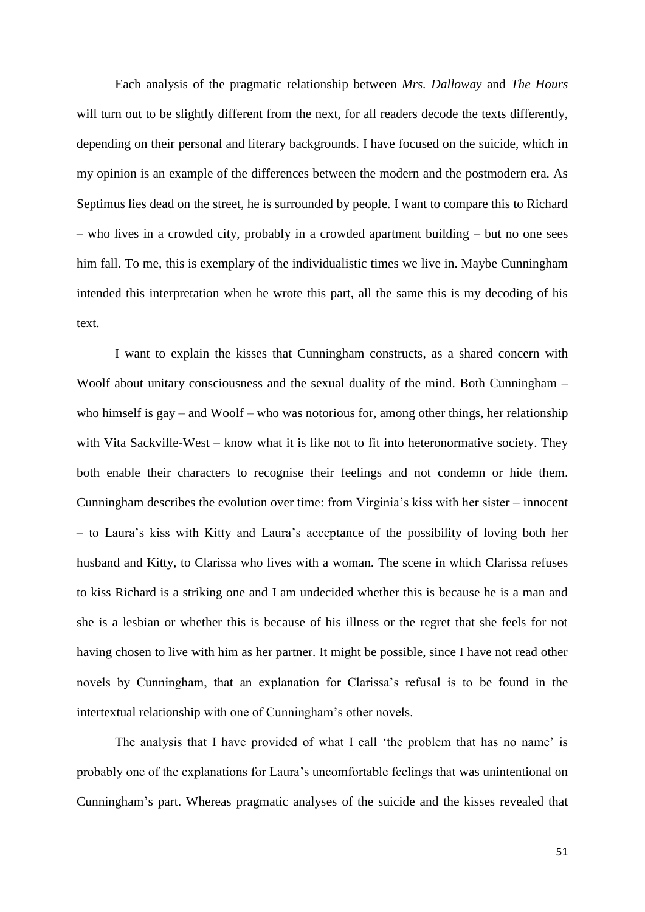Each analysis of the pragmatic relationship between *Mrs. Dalloway* and *The Hours* will turn out to be slightly different from the next, for all readers decode the texts differently, depending on their personal and literary backgrounds. I have focused on the suicide, which in my opinion is an example of the differences between the modern and the postmodern era. As Septimus lies dead on the street, he is surrounded by people. I want to compare this to Richard – who lives in a crowded city, probably in a crowded apartment building – but no one sees him fall. To me, this is exemplary of the individualistic times we live in. Maybe Cunningham intended this interpretation when he wrote this part, all the same this is my decoding of his text.

I want to explain the kisses that Cunningham constructs, as a shared concern with Woolf about unitary consciousness and the sexual duality of the mind. Both Cunningham – who himself is gay – and Woolf – who was notorious for, among other things, her relationship with Vita Sackville-West – know what it is like not to fit into heteronormative society. They both enable their characters to recognise their feelings and not condemn or hide them. Cunningham describes the evolution over time: from Virginia's kiss with her sister – innocent – to Laura"s kiss with Kitty and Laura"s acceptance of the possibility of loving both her husband and Kitty, to Clarissa who lives with a woman. The scene in which Clarissa refuses to kiss Richard is a striking one and I am undecided whether this is because he is a man and she is a lesbian or whether this is because of his illness or the regret that she feels for not having chosen to live with him as her partner. It might be possible, since I have not read other novels by Cunningham, that an explanation for Clarissa"s refusal is to be found in the intertextual relationship with one of Cunningham's other novels.

The analysis that I have provided of what I call 'the problem that has no name' is probably one of the explanations for Laura"s uncomfortable feelings that was unintentional on Cunningham"s part. Whereas pragmatic analyses of the suicide and the kisses revealed that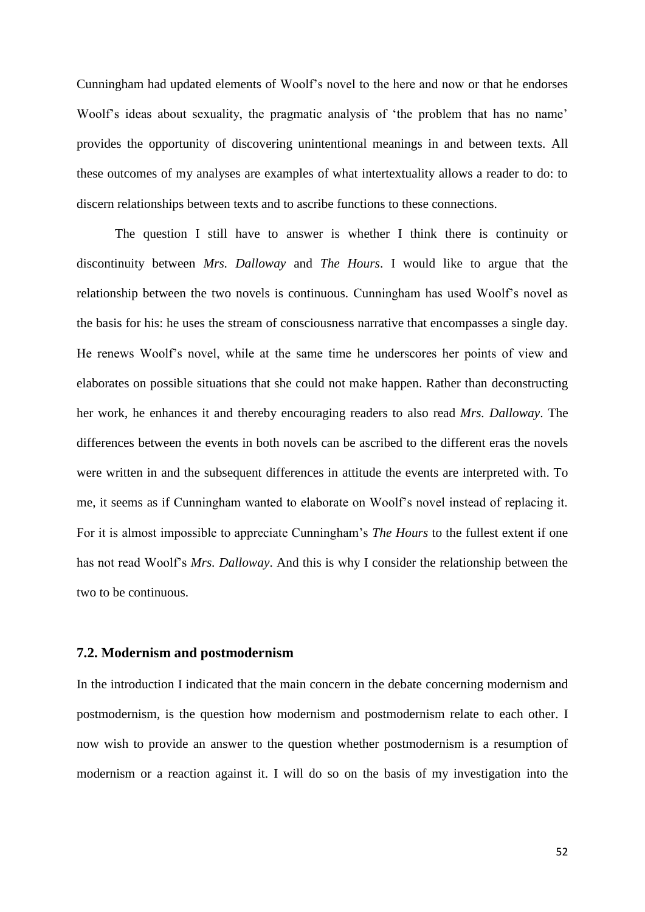Cunningham had updated elements of Woolf"s novel to the here and now or that he endorses Woolf's ideas about sexuality, the pragmatic analysis of 'the problem that has no name' provides the opportunity of discovering unintentional meanings in and between texts. All these outcomes of my analyses are examples of what intertextuality allows a reader to do: to discern relationships between texts and to ascribe functions to these connections.

The question I still have to answer is whether I think there is continuity or discontinuity between *Mrs. Dalloway* and *The Hours*. I would like to argue that the relationship between the two novels is continuous. Cunningham has used Woolf"s novel as the basis for his: he uses the stream of consciousness narrative that encompasses a single day. He renews Woolf"s novel, while at the same time he underscores her points of view and elaborates on possible situations that she could not make happen. Rather than deconstructing her work, he enhances it and thereby encouraging readers to also read *Mrs. Dalloway*. The differences between the events in both novels can be ascribed to the different eras the novels were written in and the subsequent differences in attitude the events are interpreted with. To me, it seems as if Cunningham wanted to elaborate on Woolf"s novel instead of replacing it. For it is almost impossible to appreciate Cunningham"s *The Hours* to the fullest extent if one has not read Woolf"s *Mrs. Dalloway*. And this is why I consider the relationship between the two to be continuous.

#### <span id="page-52-0"></span>**7.2. Modernism and postmodernism**

In the introduction I indicated that the main concern in the debate concerning modernism and postmodernism, is the question how modernism and postmodernism relate to each other. I now wish to provide an answer to the question whether postmodernism is a resumption of modernism or a reaction against it. I will do so on the basis of my investigation into the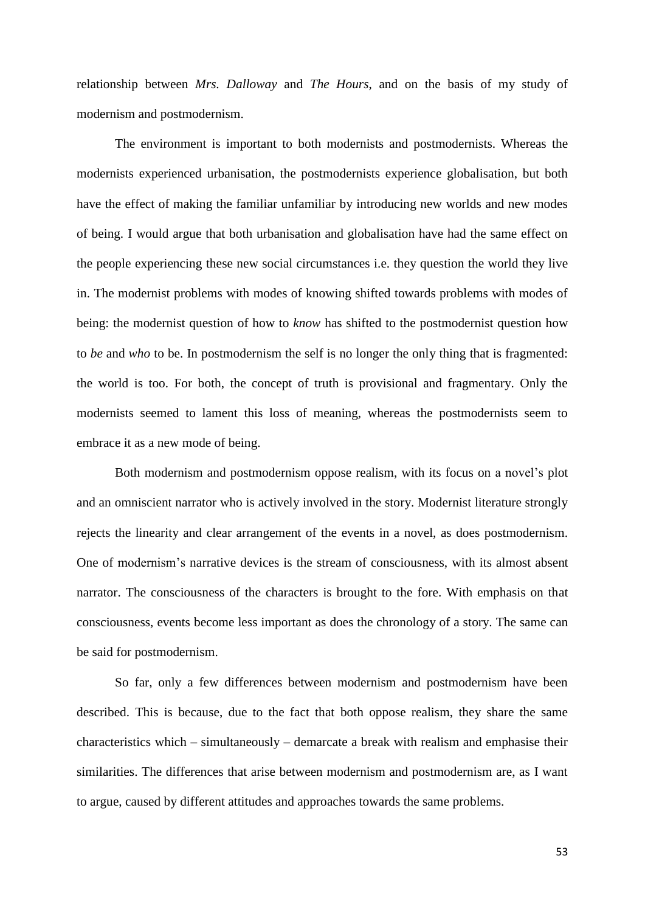relationship between *Mrs. Dalloway* and *The Hours*, and on the basis of my study of modernism and postmodernism.

The environment is important to both modernists and postmodernists. Whereas the modernists experienced urbanisation, the postmodernists experience globalisation, but both have the effect of making the familiar unfamiliar by introducing new worlds and new modes of being. I would argue that both urbanisation and globalisation have had the same effect on the people experiencing these new social circumstances i.e. they question the world they live in. The modernist problems with modes of knowing shifted towards problems with modes of being: the modernist question of how to *know* has shifted to the postmodernist question how to *be* and *who* to be. In postmodernism the self is no longer the only thing that is fragmented: the world is too. For both, the concept of truth is provisional and fragmentary. Only the modernists seemed to lament this loss of meaning, whereas the postmodernists seem to embrace it as a new mode of being.

Both modernism and postmodernism oppose realism, with its focus on a novel's plot and an omniscient narrator who is actively involved in the story. Modernist literature strongly rejects the linearity and clear arrangement of the events in a novel, as does postmodernism. One of modernism"s narrative devices is the stream of consciousness, with its almost absent narrator. The consciousness of the characters is brought to the fore. With emphasis on that consciousness, events become less important as does the chronology of a story. The same can be said for postmodernism.

So far, only a few differences between modernism and postmodernism have been described. This is because, due to the fact that both oppose realism, they share the same characteristics which – simultaneously – demarcate a break with realism and emphasise their similarities. The differences that arise between modernism and postmodernism are, as I want to argue, caused by different attitudes and approaches towards the same problems.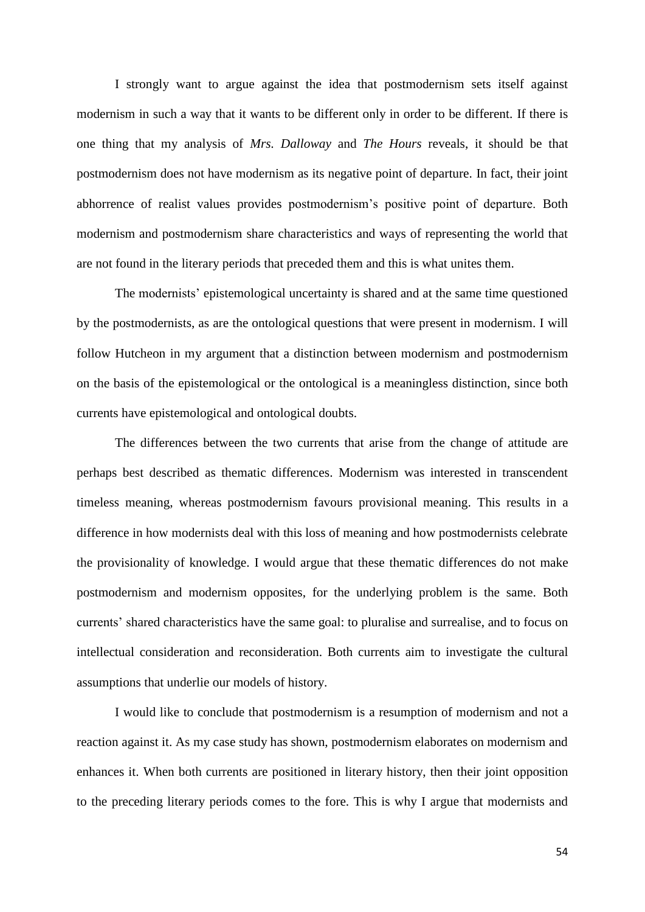I strongly want to argue against the idea that postmodernism sets itself against modernism in such a way that it wants to be different only in order to be different. If there is one thing that my analysis of *Mrs. Dalloway* and *The Hours* reveals, it should be that postmodernism does not have modernism as its negative point of departure. In fact, their joint abhorrence of realist values provides postmodernism"s positive point of departure. Both modernism and postmodernism share characteristics and ways of representing the world that are not found in the literary periods that preceded them and this is what unites them.

The modernists" epistemological uncertainty is shared and at the same time questioned by the postmodernists, as are the ontological questions that were present in modernism. I will follow Hutcheon in my argument that a distinction between modernism and postmodernism on the basis of the epistemological or the ontological is a meaningless distinction, since both currents have epistemological and ontological doubts.

The differences between the two currents that arise from the change of attitude are perhaps best described as thematic differences. Modernism was interested in transcendent timeless meaning, whereas postmodernism favours provisional meaning. This results in a difference in how modernists deal with this loss of meaning and how postmodernists celebrate the provisionality of knowledge. I would argue that these thematic differences do not make postmodernism and modernism opposites, for the underlying problem is the same. Both currents" shared characteristics have the same goal: to pluralise and surrealise, and to focus on intellectual consideration and reconsideration. Both currents aim to investigate the cultural assumptions that underlie our models of history.

I would like to conclude that postmodernism is a resumption of modernism and not a reaction against it. As my case study has shown, postmodernism elaborates on modernism and enhances it. When both currents are positioned in literary history, then their joint opposition to the preceding literary periods comes to the fore. This is why I argue that modernists and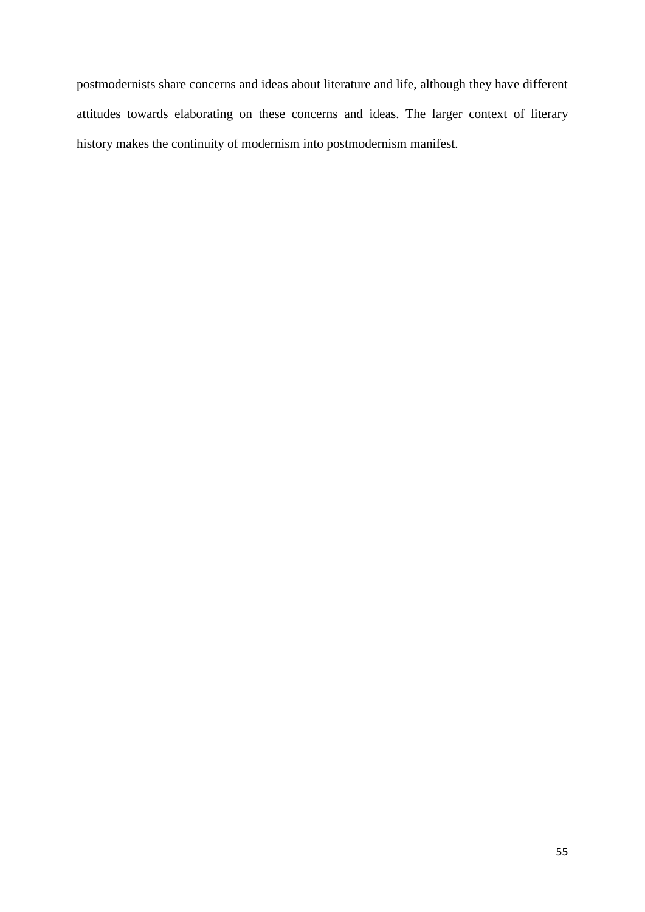postmodernists share concerns and ideas about literature and life, although they have different attitudes towards elaborating on these concerns and ideas. The larger context of literary history makes the continuity of modernism into postmodernism manifest.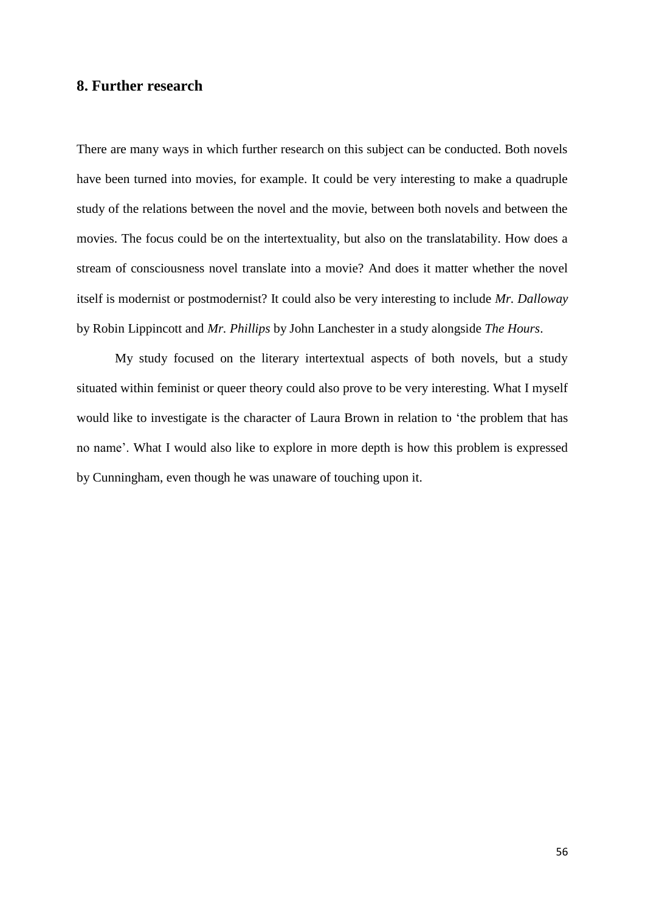## <span id="page-56-0"></span>**8. Further research**

There are many ways in which further research on this subject can be conducted. Both novels have been turned into movies, for example. It could be very interesting to make a quadruple study of the relations between the novel and the movie, between both novels and between the movies. The focus could be on the intertextuality, but also on the translatability. How does a stream of consciousness novel translate into a movie? And does it matter whether the novel itself is modernist or postmodernist? It could also be very interesting to include *Mr. Dalloway* by Robin Lippincott and *Mr. Phillips* by John Lanchester in a study alongside *The Hours*.

My study focused on the literary intertextual aspects of both novels, but a study situated within feminist or queer theory could also prove to be very interesting. What I myself would like to investigate is the character of Laura Brown in relation to "the problem that has no name". What I would also like to explore in more depth is how this problem is expressed by Cunningham, even though he was unaware of touching upon it.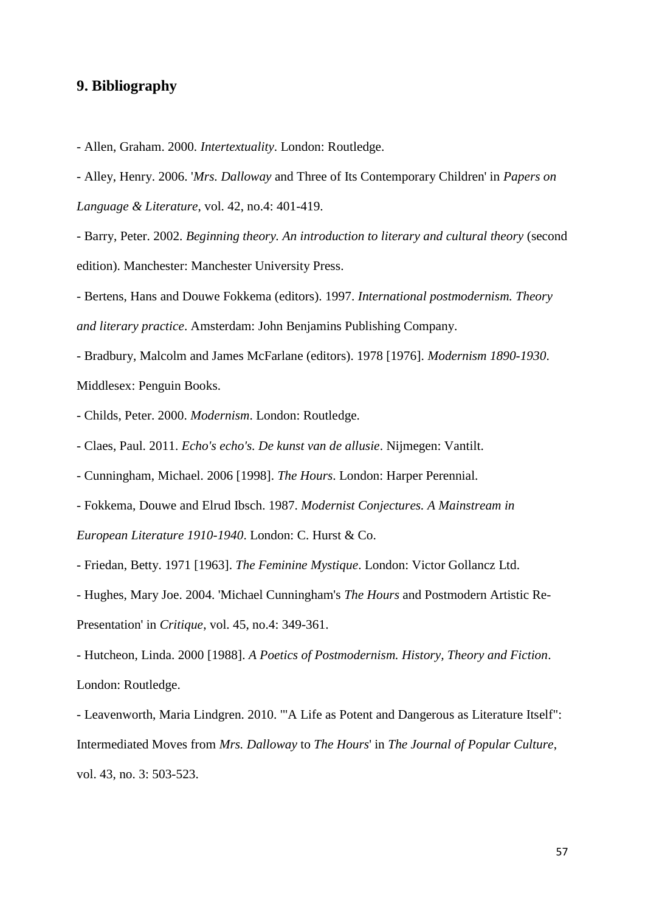## <span id="page-57-0"></span>**9. Bibliography**

- Allen, Graham. 2000. *Intertextuality*. London: Routledge.

- Alley, Henry. 2006. '*Mrs. Dalloway* and Three of Its Contemporary Children' in *Papers on Language & Literature*, vol. 42, no.4: 401-419.

- Barry, Peter. 2002. *Beginning theory. An introduction to literary and cultural theory* (second edition). Manchester: Manchester University Press.

- Bertens, Hans and Douwe Fokkema (editors). 1997. *International postmodernism. Theory and literary practice*. Amsterdam: John Benjamins Publishing Company.

- Bradbury, Malcolm and James McFarlane (editors). 1978 [1976]. *Modernism 1890-1930*. Middlesex: Penguin Books.

- Childs, Peter. 2000. *Modernism*. London: Routledge.

- Claes, Paul. 2011. *Echo's echo's. De kunst van de allusie*. Nijmegen: Vantilt.

- Cunningham, Michael. 2006 [1998]. *The Hours*. London: Harper Perennial.

- Fokkema, Douwe and Elrud Ibsch. 1987. *Modernist Conjectures. A Mainstream in European Literature 1910-1940*. London: C. Hurst & Co.

- Friedan, Betty. 1971 [1963]. *The Feminine Mystique*. London: Victor Gollancz Ltd.

- Hughes, Mary Joe. 2004. 'Michael Cunningham's *The Hours* and Postmodern Artistic Re-Presentation' in *Critique*, vol. 45, no.4: 349-361.

- Hutcheon, Linda. 2000 [1988]. *A Poetics of Postmodernism. History, Theory and Fiction*. London: Routledge.

- Leavenworth, Maria Lindgren. 2010. '"A Life as Potent and Dangerous as Literature Itself": Intermediated Moves from *Mrs. Dalloway* to *The Hours*' in *The Journal of Popular Culture*, vol. 43, no. 3: 503-523.